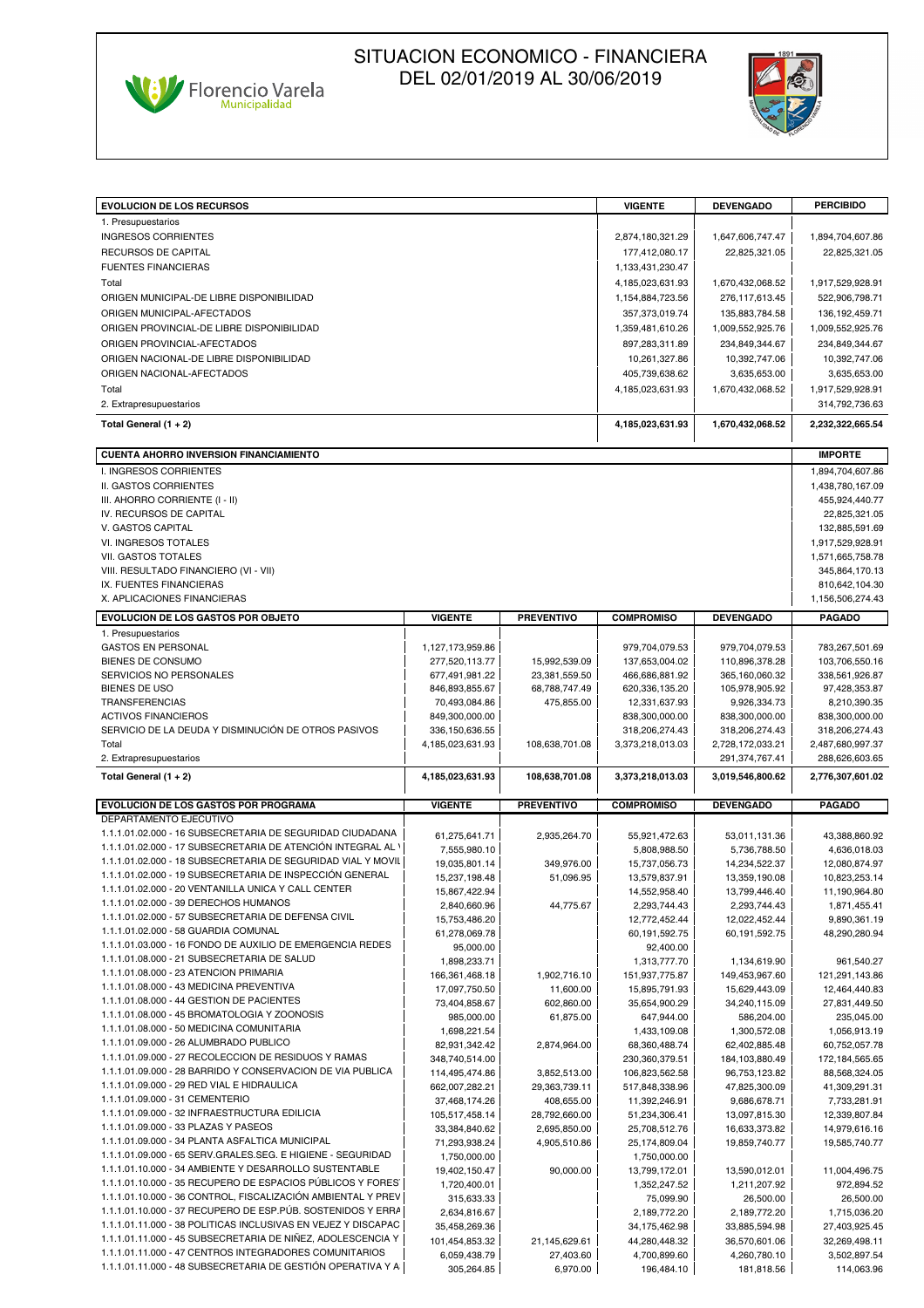



| <b>EVOLUCION DE LOS RECURSOS</b>                                                                                          |                                |                         | <b>VIGENTE</b>                 | <b>DEVENGADO</b>               | <b>PERCIBIDO</b>                |
|---------------------------------------------------------------------------------------------------------------------------|--------------------------------|-------------------------|--------------------------------|--------------------------------|---------------------------------|
| 1. Presupuestarios                                                                                                        |                                |                         |                                |                                |                                 |
| <b>INGRESOS CORRIENTES</b>                                                                                                |                                |                         | 2,874,180,321.29               | 1,647,606,747.47               | 1,894,704,607.86                |
| RECURSOS DE CAPITAL                                                                                                       |                                |                         | 177,412,080.17                 | 22,825,321.05                  | 22,825,321.05                   |
| <b>FUENTES FINANCIERAS</b>                                                                                                |                                |                         | 1,133,431,230.47               |                                |                                 |
| Total                                                                                                                     |                                |                         | 4,185,023,631.93               | 1,670,432,068.52               | 1,917,529,928.91                |
| ORIGEN MUNICIPAL-DE LIBRE DISPONIBILIDAD                                                                                  |                                |                         | 1,154,884,723.56               | 276,117,613.45                 | 522,906,798.71                  |
| ORIGEN MUNICIPAL-AFECTADOS                                                                                                |                                |                         | 357,373,019.74                 | 135,883,784.58                 | 136, 192, 459. 71               |
| ORIGEN PROVINCIAL-DE LIBRE DISPONIBILIDAD                                                                                 |                                |                         | 1,359,481,610.26               | 1,009,552,925.76               | 1,009,552,925.76                |
|                                                                                                                           |                                |                         |                                |                                |                                 |
| ORIGEN PROVINCIAL-AFECTADOS                                                                                               |                                |                         | 897,283,311.89                 | 234,849,344.67                 | 234,849,344.67                  |
| ORIGEN NACIONAL-DE LIBRE DISPONIBILIDAD                                                                                   |                                |                         | 10,261,327.86                  | 10,392,747.06                  | 10,392,747.06                   |
| ORIGEN NACIONAL-AFECTADOS                                                                                                 |                                |                         | 405,739,638.62                 | 3,635,653.00                   | 3,635,653.00                    |
| Total                                                                                                                     |                                |                         | 4,185,023,631.93               | 1,670,432,068.52               | 1,917,529,928.91                |
| 2. Extrapresupuestarios                                                                                                   |                                |                         |                                |                                | 314,792,736.63                  |
| Total General $(1 + 2)$                                                                                                   |                                |                         | 4,185,023,631.93               | 1,670,432,068.52               | 2,232,322,665.54                |
| <b>CUENTA AHORRO INVERSION FINANCIAMIENTO</b>                                                                             |                                |                         |                                |                                | <b>IMPORTE</b>                  |
| I. INGRESOS CORRIENTES                                                                                                    |                                |                         |                                |                                | 1,894,704,607.86                |
| II. GASTOS CORRIENTES                                                                                                     |                                |                         |                                |                                | 1,438,780,167.09                |
| III. AHORRO CORRIENTE (I - II)                                                                                            |                                |                         |                                |                                | 455,924,440.77                  |
| IV. RECURSOS DE CAPITAL                                                                                                   |                                |                         |                                |                                | 22,825,321.05                   |
| V. GASTOS CAPITAL                                                                                                         |                                |                         |                                |                                | 132,885,591.69                  |
| VI. INGRESOS TOTALES                                                                                                      |                                |                         |                                |                                | 1,917,529,928.91                |
| VII. GASTOS TOTALES                                                                                                       |                                |                         |                                |                                | 1,571,665,758.78                |
| VIII. RESULTADO FINANCIERO (VI - VII)                                                                                     |                                |                         |                                |                                | 345,864,170.13                  |
| IX. FUENTES FINANCIERAS                                                                                                   |                                |                         |                                |                                | 810,642,104.30                  |
| X. APLICACIONES FINANCIERAS                                                                                               |                                |                         |                                |                                | 1,156,506,274.43                |
| <b>EVOLUCION DE LOS GASTOS POR OBJETO</b>                                                                                 | <b>VIGENTE</b>                 | <b>PREVENTIVO</b>       | <b>COMPROMISO</b>              | <b>DEVENGADO</b>               | <b>PAGADO</b>                   |
| 1. Presupuestarios                                                                                                        |                                |                         |                                |                                |                                 |
| <b>GASTOS EN PERSONAL</b>                                                                                                 | 1,127,173,959.86               |                         | 979,704,079.53                 | 979,704,079.53                 | 783,267,501.69                  |
| <b>BIENES DE CONSUMO</b>                                                                                                  | 277,520,113.77                 | 15,992,539.09           | 137,653,004.02                 | 110,896,378.28                 | 103,706,550.16                  |
| SERVICIOS NO PERSONALES                                                                                                   | 677,491,981.22                 | 23,381,559.50           | 466,686,881.92                 | 365,160,060.32                 | 338,561,926.87                  |
| BIENES DE USO                                                                                                             | 846,893,855.67                 | 68,788,747.49           | 620,336,135.20                 | 105,978,905.92                 | 97,428,353.87                   |
| <b>TRANSFERENCIAS</b>                                                                                                     | 70,493,084.86                  | 475,855.00              | 12,331,637.93                  | 9,926,334.73                   | 8,210,390.35                    |
| <b>ACTIVOS FINANCIEROS</b>                                                                                                | 849,300,000.00                 |                         | 838,300,000.00                 | 838,300,000.00                 | 838,300,000.00                  |
| SERVICIO DE LA DEUDA Y DISMINUCIÓN DE OTROS PASIVOS                                                                       | 336, 150, 636.55               |                         | 318,206,274.43                 | 318,206,274.43                 | 318,206,274.43                  |
| Total                                                                                                                     | 4,185,023,631.93               | 108,638,701.08          | 3,373,218,013.03               | 2,728,172,033.21               | 2,487,680,997.37                |
|                                                                                                                           |                                |                         |                                |                                |                                 |
| 2. Extrapresupuestarios                                                                                                   |                                |                         |                                | 291,374,767.41                 | 288,626,603.65                  |
| Total General $(1 + 2)$                                                                                                   | 4,185,023,631.93               | 108,638,701.08          | 3,373,218,013.03               | 3,019,546,800.62               | 2,776,307,601.02                |
| <b>EVOLUCION DE LOS GASTOS POR PROGRAMA</b>                                                                               | <b>VIGENTE</b>                 | <b>PREVENTIVO</b>       | <b>COMPROMISO</b>              | <b>DEVENGADO</b>               | <b>PAGADO</b>                   |
| DEPARTAMENTO EJECUTIVO                                                                                                    |                                |                         |                                |                                |                                 |
| 1.1.1.01.02.000 - 16 SUBSECRETARIA DE SEGURIDAD CIUDADANA<br>1.1.1.01.02.000 - 17 SUBSECRETARIA DE ATENCIÓN INTEGRAL AL \ | 61,275,641.71                  | 2,935,264.70            | 55,921,472.63                  | 53,011,131.36                  | 43,388,860.92                   |
| 1.1.1.01.02.000 - 18 SUBSECRETARIA DE SEGURIDAD VIAL Y MOVIL                                                              | 7,555,980.10                   |                         | 5,808,988.50                   | 5,736,788.50                   | 4,636,018.03                    |
| 1.1.1.01.02.000 - 19 SUBSECRETARIA DE INSPECCIÓN GENERAL                                                                  | 19,035,801.14                  | 349,976.00              | 15,737,056.73                  | 14,234,522.37                  | 12,080,874.97                   |
| 1.1.1.01.02.000 - 20 VENTANILLA UNICA Y CALL CENTER                                                                       | 15,237,198.48                  | 51,096.95               | 13,579,837.91                  | 13,359,190.08                  | 10,823,253.14                   |
| 1.1.1.01.02.000 - 39 DERECHOS HUMANOS                                                                                     | 15,867,422.94                  |                         | 14,552,958.40                  | 13,799,446.40                  | 11,190,964.80                   |
| 1.1.1.01.02.000 - 57 SUBSECRETARIA DE DEFENSA CIVIL                                                                       | 2,840,660.96                   | 44,775.67               | 2,293,744.43                   | 2,293,744.43                   | 1,871,455.41                    |
| 1.1.1.01.02.000 - 58 GUARDIA COMUNAL                                                                                      | 15,753,486.20                  |                         | 12,772,452.44                  | 12,022,452.44                  | 9,890,361.19                    |
| 1.1.1.01.03.000 - 16 FONDO DE AUXILIO DE EMERGENCIA REDES                                                                 | 61,278,069.78                  |                         | 60,191,592.75                  | 60,191,592.75                  | 48,290,280.94                   |
| 1.1.1.01.08.000 - 21 SUBSECRETARIA DE SALUD                                                                               | 95,000.00                      |                         | 92,400.00<br>1,313,777.70      |                                | 961,540.27                      |
| 1.1.1.01.08.000 - 23 ATENCION PRIMARIA                                                                                    | 1,898,233.71                   |                         |                                | 1,134,619.90<br>149,453,967.60 |                                 |
| 1.1.1.01.08.000 - 43 MEDICINA PREVENTIVA                                                                                  | 166,361,468.18                 | 1,902,716.10            | 151,937,775.87                 |                                | 121,291,143.86<br>12,464,440.83 |
| 1.1.1.01.08.000 - 44 GESTION DE PACIENTES                                                                                 | 17,097,750.50<br>73,404,858.67 | 11,600.00<br>602,860.00 | 15,895,791.93<br>35,654,900.29 | 15,629,443.09<br>34,240,115.09 | 27,831,449.50                   |
| 1.1.1.01.08.000 - 45 BROMATOLOGIA Y ZOONOSIS                                                                              | 985,000.00                     | 61,875.00               | 647,944.00                     | 586,204.00                     | 235,045.00                      |
| 1.1.1.01.08.000 - 50 MEDICINA COMUNITARIA                                                                                 | 1,698,221.54                   |                         | 1,433,109.08                   | 1,300,572.08                   | 1,056,913.19                    |
| 1.1.1.01.09.000 - 26 ALUMBRADO PUBLICO                                                                                    | 82,931,342.42                  | 2,874,964.00            | 68,360,488.74                  | 62,402,885.48                  | 60,752,057.78                   |
| 1.1.1.01.09.000 - 27 RECOLECCION DE RESIDUOS Y RAMAS                                                                      | 348,740,514.00                 |                         | 230,360,379.51                 | 184,103,880.49                 | 172, 184, 565.65                |
| 1.1.1.01.09.000 - 28 BARRIDO Y CONSERVACION DE VIA PUBLICA                                                                | 114,495,474.86                 | 3,852,513.00            | 106,823,562.58                 | 96,753,123.82                  | 88,568,324.05                   |
| 1.1.1.01.09.000 - 29 RED VIAL E HIDRAULICA                                                                                | 662,007,282.21                 | 29,363,739.11           | 517,848,338.96                 | 47,825,300.09                  | 41,309,291.31                   |
| 1.1.1.01.09.000 - 31 CEMENTERIO                                                                                           | 37,468,174.26                  | 408,655.00              | 11,392,246.91                  | 9,686,678.71                   | 7,733,281.91                    |
| 1.1.1.01.09.000 - 32 INFRAESTRUCTURA EDILICIA                                                                             | 105,517,458.14                 | 28,792,660.00           | 51,234,306.41                  | 13,097,815.30                  | 12,339,807.84                   |
| 1.1.1.01.09.000 - 33 PLAZAS Y PASEOS                                                                                      | 33,384,840.62                  | 2,695,850.00            | 25,708,512.76                  | 16,633,373.82                  | 14,979,616.16                   |
| 1.1.1.01.09.000 - 34 PLANTA ASFALTICA MUNICIPAL                                                                           | 71,293,938.24                  | 4,905,510.86            | 25,174,809.04                  | 19,859,740.77                  | 19,585,740.77                   |
| 1.1.1.01.09.000 - 65 SERV.GRALES.SEG. E HIGIENE - SEGURIDAD                                                               | 1,750,000.00                   |                         | 1,750,000.00                   |                                |                                 |
| 1.1.1.01.10.000 - 34 AMBIENTE Y DESARROLLO SUSTENTABLE                                                                    | 19,402,150.47                  | 90,000.00               | 13,799,172.01                  | 13,590,012.01                  | 11,004,496.75                   |
| 1.1.1.01.10.000 - 35 RECUPERO DE ESPACIOS PÚBLICOS Y FORES                                                                | 1,720,400.01                   |                         | 1,352,247.52                   | 1,211,207.92                   | 972,894.52                      |
| 1.1.1.01.10.000 - 36 CONTROL, FISCALIZACIÓN AMBIENTAL Y PREV                                                              | 315,633.33                     |                         | 75,099.90                      | 26,500.00                      | 26,500.00                       |
| 1.1.1.01.10.000 - 37 RECUPERO DE ESP.PÚB. SOSTENIDOS Y ERRA                                                               | 2,634,816.67                   |                         | 2,189,772.20                   | 2,189,772.20                   | 1,715,036.20                    |
| 1.1.1.01.11.000 - 38 POLITICAS INCLUSIVAS EN VEJEZ Y DISCAPAC                                                             | 35,458,269.36                  |                         | 34,175,462.98                  | 33,885,594.98                  | 27,403,925.45                   |
| 1.1.1.01.11.000 - 45 SUBSECRETARIA DE NIÑEZ, ADOLESCENCIA Y                                                               | 101,454,853.32                 | 21,145,629.61           | 44,280,448.32                  | 36,570,601.06                  | 32,269,498.11                   |
| 1.1.1.01.11.000 - 47 CENTROS INTEGRADORES COMUNITARIOS<br>1.1.1.01.11.000 - 48 SUBSECRETARIA DE GESTIÓN OPERATIVA Y A     | 6,059,438.79                   | 27,403.60               | 4,700,899.60                   | 4,260,780.10                   | 3,502,897.54                    |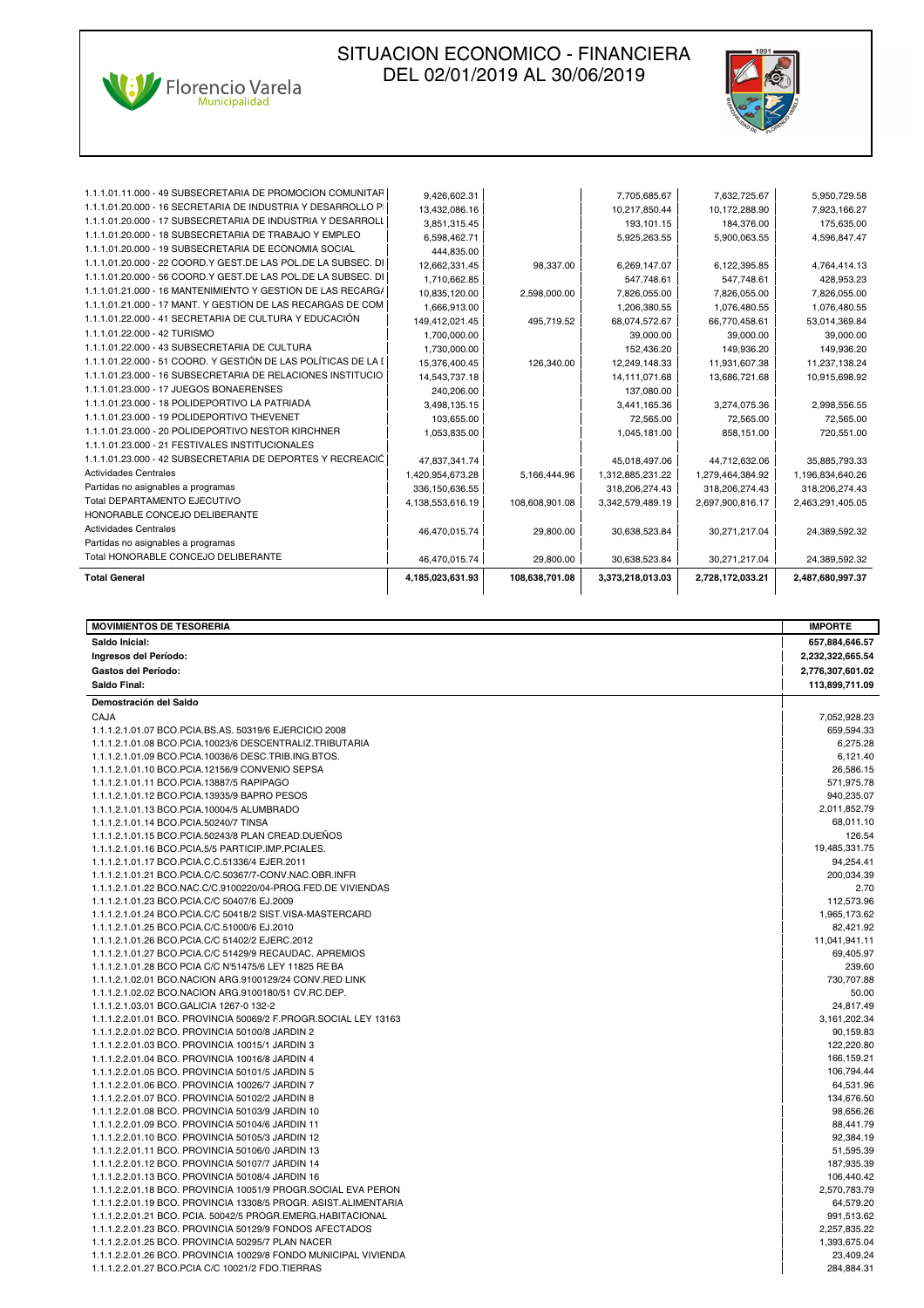



| <b>Total General</b>                                           | 4,185,023,631.93 | 108,638,701.08 | 3,373,218,013.03 | 2,728,172,033.21 | 2,487,680,997.37 |
|----------------------------------------------------------------|------------------|----------------|------------------|------------------|------------------|
| Total HONORABLE CONCEJO DELIBERANTE                            | 46,470,015.74    | 29,800.00      | 30.638.523.84    | 30.271.217.04    | 24.389.592.32    |
| Partidas no asignables a programas                             |                  |                |                  |                  |                  |
| <b>Actividades Centrales</b>                                   | 46,470,015.74    | 29.800.00      | 30,638,523.84    | 30.271.217.04    | 24,389,592.32    |
| HONORABLE CONCEJO DELIBERANTE                                  |                  |                |                  |                  |                  |
| Total DEPARTAMENTO EJECUTIVO                                   | 4,138,553,616.19 | 108.608.901.08 | 3,342,579,489.19 | 2,697,900,816.17 | 2,463,291,405.05 |
| Partidas no asignables a programas                             | 336, 150, 636.55 |                | 318,206,274.43   | 318,206,274.43   | 318,206,274.43   |
| <b>Actividades Centrales</b>                                   | 1,420,954,673.28 | 5,166,444.96   | 1,312,885,231.22 | 1,279,464,384.92 | 1,196,834,640.26 |
| 1.1.1.01.23.000 - 42 SUBSECRETARIA DE DEPORTES Y RECREACIĆ     | 47,837,341.74    |                | 45,018,497.06    | 44,712,632.06    | 35,885,793.33    |
| 1.1.1.01.23.000 - 21 FESTIVALES INSTITUCIONALES                |                  |                |                  |                  |                  |
| 1.1.1.01.23.000 - 20 POLIDEPORTIVO NESTOR KIRCHNER             | 1,053,835.00     |                | 1,045,181.00     | 858,151.00       | 720,551.00       |
| 1.1.1.01.23.000 - 19 POLIDEPORTIVO THEVENET                    | 103,655.00       |                | 72.565.00        | 72,565.00        | 72,565.00        |
| 1.1.1.01.23.000 - 18 POLIDEPORTIVO LA PATRIADA                 | 3,498,135.15     |                | 3,441,165.36     | 3,274,075.36     | 2,998,556.55     |
| 1.1.1.01.23.000 - 17 JUEGOS BONAERENSES                        | 240,206.00       |                | 137,080.00       |                  |                  |
| 1.1.1.01.23.000 - 16 SUBSECRETARIA DE RELACIONES INSTITUCIO    | 14,543,737.18    |                | 14,111,071.68    | 13,686,721.68    | 10,915,698.92    |
| 1.1.1.01.22.000 - 51 COORD. Y GESTIÓN DE LAS POLÍTICAS DE LA I | 15,376,400.45    | 126.340.00     | 12,249,148.33    | 11,931,607.38    | 11,237,138.24    |
| 1.1.1.01.22.000 - 43 SUBSECRETARIA DE CULTURA                  | 1,730,000.00     |                | 152,436.20       | 149.936.20       | 149,936.20       |
| 1.1.1.01.22.000 - 42 TURISMO                                   | 1,700,000.00     |                | 39,000.00        | 39,000.00        | 39,000.00        |
| 1.1.1.01.22.000 - 41 SECRETARIA DE CULTURA Y EDUCACIÓN         | 149,412,021.45   | 495.719.52     | 68,074,572.67    | 66,770,458.61    | 53,014,369.84    |
| 1.1.1.01.21.000 - 17 MANT. Y GESTIÓN DE LAS RECARGAS DE COM    | 1,666,913.00     |                | 1,206,380.55     | 1,076,480.55     | 1,076,480.55     |
| 1.1.1.01.21.000 - 16 MANTENIMIENTO Y GESTIÓN DE LAS RECARG/    | 10,835,120.00    | 2,598,000.00   | 7,826,055.00     | 7,826,055.00     | 7,826,055.00     |
| 1.1.1.01.20.000 - 56 COORD.Y GEST.DE LAS POL.DE LA SUBSEC. DI  | 1.710.662.85     |                | 547.748.61       | 547.748.61       | 428,953.23       |
| 1.1.1.01.20.000 - 22 COORD.Y GEST.DE LAS POL.DE LA SUBSEC. DI  | 12,662,331.45    | 98,337.00      | 6,269,147.07     | 6,122,395.85     | 4,764,414.13     |
| 1.1.1.01.20.000 - 19 SUBSECRETARIA DE ECONOMIA SOCIAL          | 444.835.00       |                |                  |                  |                  |
| 1.1.1.01.20.000 - 18 SUBSECRETARIA DE TRABAJO Y EMPLEO         | 6,598,462.71     |                | 5,925,263.55     | 5,900,063.55     | 4,596,847.47     |
| 1.1.1.01.20.000 - 17 SUBSECRETARIA DE INDUSTRIA Y DESARROLL    | 3,851,315.45     |                | 193,101.15       | 184.376.00       | 175,635.00       |
| 1.1.1.01.20.000 - 16 SECRETARIA DE INDUSTRIA Y DESARROLLO PI   | 13,432,086.16    |                | 10,217,850.44    | 10,172,288.90    | 7,923,166.27     |
| 1.1.1.01.11.000 - 49 SUBSECRETARIA DE PROMOCION COMUNITAR      | 9,426,602.31     |                | 7,705,685.67     | 7,632,725.67     | 5,950,729.58     |
|                                                                |                  |                |                  |                  |                  |

| <b>MOVIMIENTOS DE TESORERIA</b>                                                                  | <b>IMPORTE</b>     |
|--------------------------------------------------------------------------------------------------|--------------------|
| Saldo Inicial:                                                                                   | 657,884,646.57     |
| Ingresos del Período:                                                                            | 2,232,322,665.54   |
| <b>Gastos del Período:</b>                                                                       | 2,776,307,601.02   |
| Saldo Final:                                                                                     | 113,899,711.09     |
| Demostración del Saldo                                                                           |                    |
| CAJA                                                                                             | 7,052,928.23       |
| 1.1.1.2.1.01.07 BCO.PCIA.BS.AS. 50319/6 EJERCICIO 2008                                           | 659.594.33         |
| 1.1.1.2.1.01.08 BCO.PCIA.10023/6 DESCENTRALIZ.TRIBUTARIA                                         | 6,275.28           |
| 1.1.1.2.1.01.09 BCO.PCIA.10036/6 DESC.TRIB.ING.BTOS.                                             | 6,121.40           |
| 1.1.1.2.1.01.10 BCO.PCIA.12156/9 CONVENIO SEPSA                                                  | 26,586.15          |
| 1.1.1.2.1.01.11 BCO.PCIA.13887/5 RAPIPAGO                                                        | 571,975.78         |
| 1.1.1.2.1.01.12 BCO.PCIA.13935/9 BAPRO PESOS                                                     | 940,235.07         |
| 1.1.1.2.1.01.13 BCO.PCIA.10004/5 ALUMBRADO                                                       | 2,011,852.79       |
| 1.1.1.2.1.01.14 BCO.PCIA.50240/7 TINSA                                                           | 68.011.10          |
| 1.1.1.2.1.01.15 BCO.PCIA.50243/8 PLAN CREAD.DUEÑOS                                               | 126.54             |
| 1.1.1.2.1.01.16 BCO.PCIA.5/5 PARTICIP.IMP.PCIALES.                                               | 19,485,331.75      |
| 1.1.1.2.1.01.17 BCO.PCIA.C.C.51336/4 EJER.2011                                                   | 94,254.41          |
| 1.1.1.2.1.01.21 BCO.PCIA.C/C.50367/7-CONV.NAC.OBR.INFR                                           | 200,034.39         |
| 1.1.1.2.1.01.22 BCO.NAC.C/C.9100220/04-PROG.FED.DE VIVIENDAS                                     | 2.70               |
| 1.1.1.2.1.01.23 BCO.PCIA.C/C 50407/6 EJ.2009                                                     | 112,573.96         |
| 1.1.1.2.1.01.24 BCO.PCIA.C/C 50418/2 SIST.VISA-MASTERCARD                                        | 1,965,173.62       |
| 1.1.1.2.1.01.25 BCO.PCIA.C/C.51000/6 EJ.2010                                                     | 82.421.92          |
| 1.1.1.2.1.01.26 BCO.PCIA.C/C 51402/2 EJERC.2012                                                  | 11,041,941.11      |
| 1.1.1.2.1.01.27 BCO.PCIA.C/C 51429/9 RECAUDAC. APREMIOS                                          | 69,405.97          |
| 1.1.1.2.1.01.28 BCO PCIA C/C N'51475/6 LEY 11825 RE BA                                           | 239.60             |
| 1.1.1.2.1.02.01 BCO.NACION ARG.9100129/24 CONV.RED LINK                                          | 730,707.88         |
| 1.1.1.2.1.02.02 BCO.NACION ARG.9100180/51 CV.RC.DEP.<br>1.1.1.2.1.03.01 BCO.GALICIA 1267-0 132-2 | 50.00<br>24.817.49 |
| 1.1.1.2.2.01.01 BCO, PROVINCIA 50069/2 F.PROGR.SOCIAL LEY 13163                                  | 3,161,202.34       |
| 1.1.1.2.2.01.02 BCO. PROVINCIA 50100/8 JARDIN 2                                                  | 90,159.83          |
| 1.1.1.2.2.01.03 BCO. PROVINCIA 10015/1 JARDIN 3                                                  | 122,220.80         |
| 1.1.1.2.2.01.04 BCO, PROVINCIA 10016/8 JARDIN 4                                                  | 166.159.21         |
| 1.1.1.2.2.01.05 BCO. PROVINCIA 50101/5 JARDIN 5                                                  | 106,794.44         |
| 1.1.1.2.2.01.06 BCO. PROVINCIA 10026/7 JARDIN 7                                                  | 64,531.96          |
| 1.1.1.2.2.01.07 BCO. PROVINCIA 50102/2 JARDIN 8                                                  | 134,676.50         |
| 1.1.1.2.2.01.08 BCO, PROVINCIA 50103/9 JARDIN 10                                                 | 98.656.26          |
| 1.1.1.2.2.01.09 BCO, PROVINCIA 50104/6 JARDIN 11                                                 | 88,441.79          |
| 1.1.1.2.2.01.10 BCO. PROVINCIA 50105/3 JARDIN 12                                                 | 92,384.19          |
| 1.1.1.2.2.01.11 BCO, PROVINCIA 50106/0 JARDIN 13                                                 | 51,595.39          |
| 1.1.1.2.2.01.12 BCO, PROVINCIA 50107/7 JARDIN 14                                                 | 187,935.39         |
| 1.1.1.2.2.01.13 BCO. PROVINCIA 50108/4 JARDIN 16                                                 | 106,440.42         |
| 1.1.1.2.2.01.18 BCO. PROVINCIA 10051/9 PROGR.SOCIAL EVA PERON                                    | 2,570,783.79       |
| 1.1.1.2.2.01.19 BCO, PROVINCIA 13308/5 PROGR, ASIST.ALIMENTARIA                                  | 64,579.20          |
| 1.1.1.2.2.01.21 BCO. PCIA. 50042/5 PROGR.EMERG.HABITACIONAL                                      | 991,513.62         |
| 1.1.1.2.2.01.23 BCO. PROVINCIA 50129/9 FONDOS AFECTADOS                                          | 2,257,835.22       |
| 1.1.1.2.2.01.25 BCO, PROVINCIA 50295/7 PLAN NACER                                                | 1,393,675.04       |
| 1.1.1.2.2.01.26 BCO. PROVINCIA 10029/8 FONDO MUNICIPAL VIVIENDA                                  | 23,409.24          |
| 1.1.1.2.2.01.27 BCO.PCIA C/C 10021/2 FDO.TIERRAS                                                 | 284,884.31         |
|                                                                                                  |                    |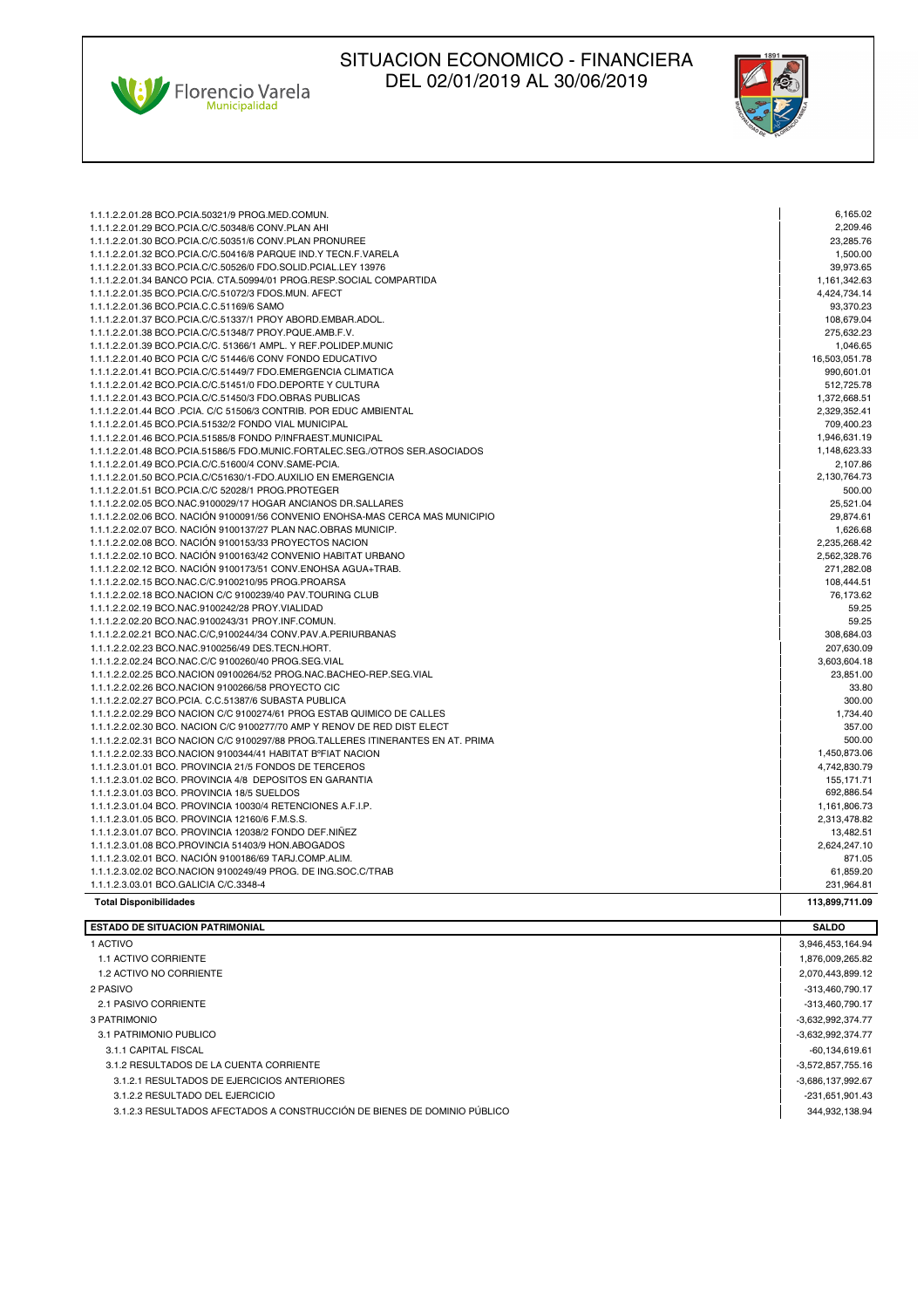Ville Florencio Varela



| 1.1.1.2.2.01.28 BCO.PCIA.50321/9 PROG.MED.COMUN.                                 | 6,165.02       |
|----------------------------------------------------------------------------------|----------------|
| 1.1.1.2.2.01.29 BCO.PCIA.C/C.50348/6 CONV.PLAN AHI                               | 2.209.46       |
| 1.1.1.2.2.01.30 BCO.PCIA.C/C.50351/6 CONV.PLAN PRONUREE                          | 23,285.76      |
| 1.1.1.2.2.01.32 BCO.PCIA.C/C.50416/8 PARQUE IND.Y TECN.F.VARELA                  | 1,500.00       |
| 1.1.1.2.2.01.33 BCO.PCIA.C/C.50526/0 FDO.SOLID.PCIAL.LEY 13976                   | 39,973.65      |
| 1.1.1.2.2.01.34 BANCO PCIA. CTA.50994/01 PROG.RESP.SOCIAL COMPARTIDA             | 1,161,342.63   |
| 1.1.1.2.2.01.35 BCO.PCIA.C/C.51072/3 FDOS.MUN. AFECT                             | 4,424,734.14   |
| 1.1.1.2.2.01.36 BCO.PCIA.C.C.51169/6 SAMO                                        | 93,370.23      |
| 1.1.1.2.2.01.37 BCO.PCIA.C/C.51337/1 PROY ABORD.EMBAR.ADOL.                      | 108,679.04     |
| 1.1.1.2.2.01.38 BCO.PCIA.C/C.51348/7 PROY.PQUE.AMB.F.V.                          | 275,632.23     |
| 1.1.1.2.2.01.39 BCO.PCIA.C/C. 51366/1 AMPL. Y REF.POLIDEP.MUNIC                  | 1,046.65       |
| 1.1.1.2.2.01.40 BCO PCIA C/C 51446/6 CONV FONDO EDUCATIVO                        | 16,503,051.78  |
| 1.1.1.2.2.01.41 BCO.PCIA.C/C.51449/7 FDO.EMERGENCIA CLIMATICA                    | 990.601.01     |
| 1.1.1.2.2.01.42 BCO.PCIA.C/C.51451/0 FDO.DEPORTE Y CULTURA                       | 512,725.78     |
| 1.1.1.2.2.01.43 BCO.PCIA.C/C.51450/3 FDO.OBRAS PUBLICAS                          | 1,372,668.51   |
| 1.1.1.2.2.01.44 BCO .PCIA. C/C 51506/3 CONTRIB. POR EDUC AMBIENTAL               | 2,329,352.41   |
| 1.1.1.2.2.01.45 BCO.PCIA.51532/2 FONDO VIAL MUNICIPAL                            | 709,400.23     |
| 1.1.1.2.2.01.46 BCO.PCIA.51585/8 FONDO P/INFRAEST.MUNICIPAL                      | 1,946,631.19   |
| 1.1.1.2.2.01.48 BCO.PCIA.51586/5 FDO.MUNIC.FORTALEC.SEG./OTROS SER.ASOCIADOS     | 1,148,623.33   |
| 1.1.1.2.2.01.49 BCO.PCIA.C/C.51600/4 CONV.SAME-PCIA.                             | 2.107.86       |
| 1.1.1.2.2.01.50 BCO.PCIA.C/C51630/1-FDO.AUXILIO EN EMERGENCIA                    | 2,130,764.73   |
| 1.1.1.2.2.01.51 BCO.PCIA.C/C 52028/1 PROG.PROTEGER                               | 500.00         |
| 1.1.1.2.2.02.05 BCO.NAC.9100029/17 HOGAR ANCIANOS DR.SALLARES                    | 25,521.04      |
| 1.1.1.2.2.02.06 BCO. NACIÓN 9100091/56 CONVENIO ENOHSA-MAS CERCA MAS MUNICIPIO   | 29,874.61      |
| 1.1.1.2.2.02.07 BCO. NACIÓN 9100137/27 PLAN NAC.OBRAS MUNICIP.                   | 1,626.68       |
| 1.1.1.2.2.02.08 BCO, NACIÓN 9100153/33 PROYECTOS NACION                          | 2.235.268.42   |
| 1.1.1.2.2.02.10 BCO. NACIÓN 9100163/42 CONVENIO HABITAT URBANO                   | 2,562,328.76   |
| 1.1.1.2.2.02.12 BCO. NACIÓN 9100173/51 CONV.ENOHSA AGUA+TRAB.                    | 271,282.08     |
| 1.1.1.2.2.02.15 BCO.NAC.C/C.9100210/95 PROG.PROARSA                              | 108.444.51     |
| 1.1.1.2.2.02.18 BCO.NACION C/C 9100239/40 PAV.TOURING CLUB                       | 76,173.62      |
| 1.1.1.2.2.02.19 BCO.NAC.9100242/28 PROY.VIALIDAD                                 | 59.25          |
| 1.1.1.2.2.02.20 BCO.NAC.9100243/31 PROY.INF.COMUN.                               | 59.25          |
| 1.1.1.2.2.02.21 BCO.NAC.C/C,9100244/34 CONV.PAV.A.PERIURBANAS                    | 308,684.03     |
| 1.1.1.2.2.02.23 BCO.NAC.9100256/49 DES.TECN.HORT.                                | 207,630.09     |
| 1.1.1.2.2.02.24 BCO.NAC.C/C 9100260/40 PROG.SEG.VIAL                             | 3,603,604.18   |
| 1.1.1.2.2.02.25 BCO.NACION 09100264/52 PROG.NAC.BACHEO-REP.SEG.VIAL              | 23,851.00      |
| 1.1.1.2.2.02.26 BCO.NACION 9100266/58 PROYECTO CIC                               | 33.80          |
| 1.1.1.2.2.02.27 BCO.PCIA. C.C.51387/6 SUBASTA PUBLICA                            | 300.00         |
| 1.1.1.2.2.02.29 BCO NACION C/C 9100274/61 PROG ESTAB QUIMICO DE CALLES           | 1,734.40       |
| 1.1.1.2.2.02.30 BCO, NACION C/C 9100277/70 AMP Y RENOV DE RED DIST ELECT         | 357.00         |
| 1.1.1.2.2.02.31 BCO NACION C/C 9100297/88 PROG.TALLERES ITINERANTES EN AT. PRIMA | 500.00         |
| 1.1.1.2.2.02.33 BCO.NACION 9100344/41 HABITAT BºFIAT NACION                      | 1,450,873.06   |
| 1.1.1.2.3.01.01 BCO. PROVINCIA 21/5 FONDOS DE TERCEROS                           | 4,742,830.79   |
| 1.1.1.2.3.01.02 BCO, PROVINCIA 4/8 DEPOSITOS EN GARANTIA                         | 155, 171.71    |
| 1.1.1.2.3.01.03 BCO. PROVINCIA 18/5 SUELDOS                                      | 692,886.54     |
| 1.1.1.2.3.01.04 BCO. PROVINCIA 10030/4 RETENCIONES A.F.I.P.                      | 1,161,806.73   |
| 1.1.1.2.3.01.05 BCO, PROVINCIA 12160/6 F.M.S.S.                                  | 2,313,478.82   |
| 1.1.1.2.3.01.07 BCO, PROVINCIA 12038/2 FONDO DEF.NIÑEZ                           | 13,482.51      |
| 1.1.1.2.3.01.08 BCO.PROVINCIA 51403/9 HON.ABOGADOS                               | 2,624,247.10   |
| 1.1.1.2.3.02.01 BCO. NACIÓN 9100186/69 TARJ.COMP.ALIM.                           | 871.05         |
| 1.1.1.2.3.02.02 BCO.NACION 9100249/49 PROG. DE ING.SOC.C/TRAB                    | 61,859.20      |
| 1.1.1.2.3.03.01 BCO.GALICIA C/C.3348-4                                           | 231,964.81     |
| <b>Total Disponibilidades</b>                                                    | 113.899.711.09 |

| <b>ESTADO DE SITUACION PATRIMONIAL</b>                                   | <b>SALDO</b>      |
|--------------------------------------------------------------------------|-------------------|
| 1 ACTIVO                                                                 | 3,946,453,164.94  |
| 1.1 ACTIVO CORRIENTE                                                     | 1,876,009,265.82  |
| 1.2 ACTIVO NO CORRIENTE                                                  | 2,070,443,899.12  |
| 2 PASIVO                                                                 | -313,460,790.17   |
| 2.1 PASIVO CORRIENTE                                                     | -313,460,790.17   |
| 3 PATRIMONIO                                                             | -3,632,992,374.77 |
| 3.1 PATRIMONIO PUBLICO                                                   | -3,632,992,374.77 |
| 3.1.1 CAPITAL FISCAL                                                     | -60,134,619.61    |
| 3.1.2 RESULTADOS DE LA CUENTA CORRIENTE                                  | -3,572,857,755.16 |
| 3.1.2.1 RESULTADOS DE EJERCICIOS ANTERIORES                              | -3,686,137,992.67 |
| 3.1.2.2 RESULTADO DEL EJERCICIO                                          | -231,651,901.43   |
| 3.1.2.3 RESULTADOS AFECTADOS A CONSTRUCCIÓN DE BIENES DE DOMINIO PÚBLICO | 344,932,138.94    |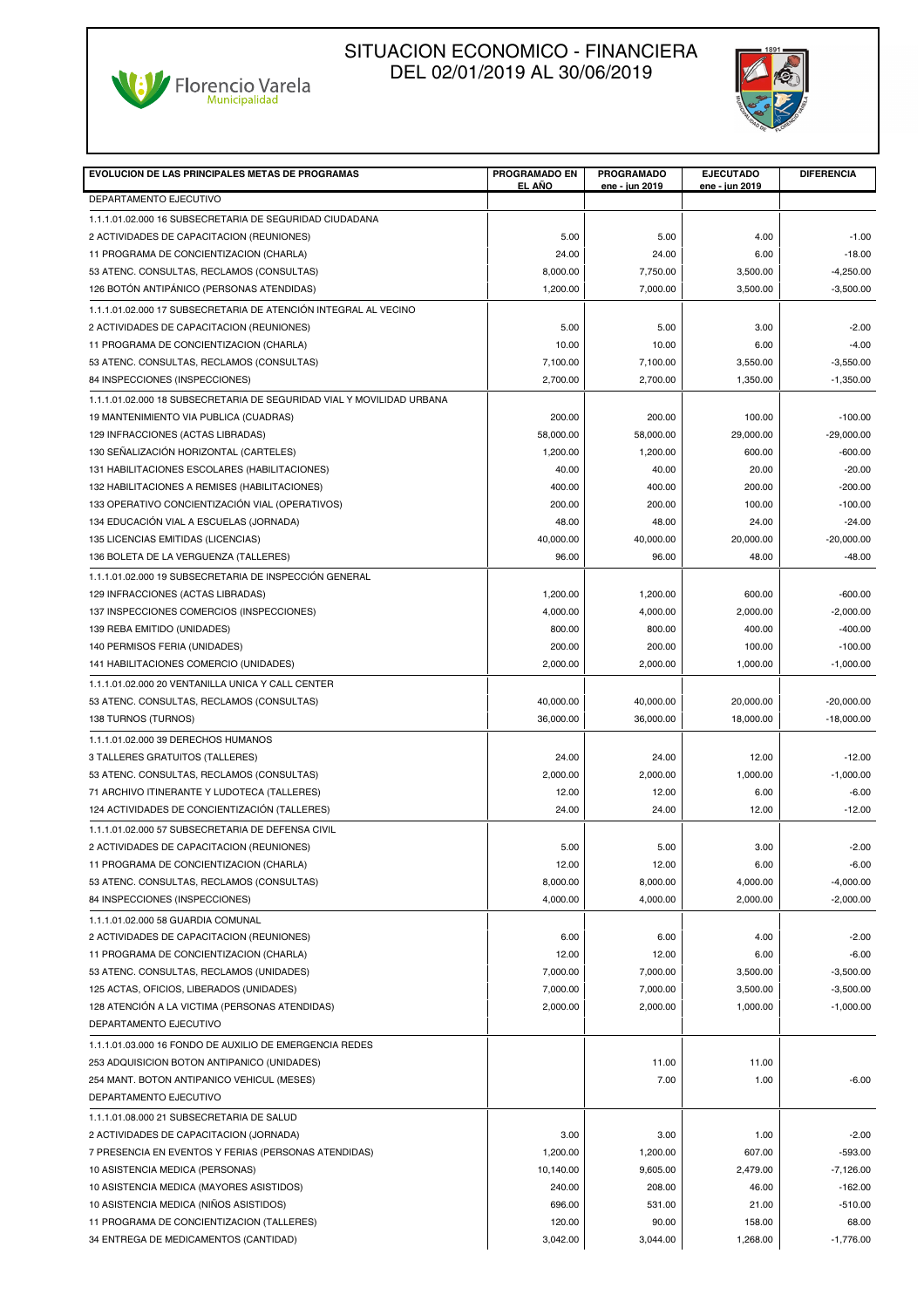



| <b>EVOLUCION DE LAS PRINCIPALES METAS DE PROGRAMAS</b>                                   | PROGRAMADO EN<br>EL AÑO | <b>PROGRAMADO</b><br>ene - jun 2019 | <b>EJECUTADO</b><br>ene - jun 2019 | <b>DIFERENCIA</b>            |
|------------------------------------------------------------------------------------------|-------------------------|-------------------------------------|------------------------------------|------------------------------|
| DEPARTAMENTO EJECUTIVO                                                                   |                         |                                     |                                    |                              |
| 1.1.1.01.02.000 16 SUBSECRETARIA DE SEGURIDAD CIUDADANA                                  |                         |                                     |                                    |                              |
| 2 ACTIVIDADES DE CAPACITACION (REUNIONES)                                                | 5.00                    | 5.00                                | 4.00                               | $-1.00$                      |
| 11 PROGRAMA DE CONCIENTIZACION (CHARLA)                                                  | 24.00                   | 24.00                               | 6.00                               | $-18.00$                     |
| 53 ATENC. CONSULTAS, RECLAMOS (CONSULTAS)                                                | 8,000.00                | 7,750.00                            | 3,500.00                           | $-4,250.00$                  |
| 126 BOTÓN ANTIPÁNICO (PERSONAS ATENDIDAS)                                                | 1,200.00                | 7,000.00                            | 3,500.00                           | $-3,500.00$                  |
| 1.1.1.01.02.000 17 SUBSECRETARIA DE ATENCIÓN INTEGRAL AL VECINO                          |                         |                                     |                                    |                              |
| 2 ACTIVIDADES DE CAPACITACION (REUNIONES)                                                | 5.00                    | 5.00                                | 3.00                               | $-2.00$                      |
| 11 PROGRAMA DE CONCIENTIZACION (CHARLA)                                                  | 10.00                   | 10.00                               | 6.00                               | $-4.00$                      |
| 53 ATENC. CONSULTAS, RECLAMOS (CONSULTAS)                                                | 7,100.00                | 7,100.00                            | 3,550.00                           | $-3,550.00$                  |
| 84 INSPECCIONES (INSPECCIONES)                                                           | 2,700.00                | 2,700.00                            | 1,350.00                           | $-1,350.00$                  |
| 1.1.1.01.02.000 18 SUBSECRETARIA DE SEGURIDAD VIAL Y MOVILIDAD URBANA                    |                         |                                     |                                    |                              |
| 19 MANTENIMIENTO VIA PUBLICA (CUADRAS)                                                   | 200.00                  | 200.00                              | 100.00                             | $-100.00$                    |
| 129 INFRACCIONES (ACTAS LIBRADAS)                                                        | 58,000.00               | 58,000.00                           | 29,000.00                          | $-29,000.00$                 |
| 130 SEÑALIZACIÓN HORIZONTAL (CARTELES)                                                   | 1,200.00                | 1,200.00                            | 600.00                             | $-600.00$                    |
| 131 HABILITACIONES ESCOLARES (HABILITACIONES)                                            | 40.00                   | 40.00                               | 20.00                              | $-20.00$                     |
| 132 HABILITACIONES A REMISES (HABILITACIONES)                                            | 400.00                  | 400.00                              | 200.00                             | $-200.00$                    |
| 133 OPERATIVO CONCIENTIZACIÓN VIAL (OPERATIVOS)                                          | 200.00                  | 200.00                              | 100.00                             | $-100.00$                    |
| 134 EDUCACIÓN VIAL A ESCUELAS (JORNADA)                                                  | 48.00                   | 48.00                               | 24.00                              | $-24.00$                     |
| 135 LICENCIAS EMITIDAS (LICENCIAS)                                                       | 40,000.00               | 40,000.00                           | 20,000.00                          | $-20,000.00$                 |
| 136 BOLETA DE LA VERGUENZA (TALLERES)                                                    | 96.00                   | 96.00                               | 48.00                              | $-48.00$                     |
| 1.1.1.01.02.000 19 SUBSECRETARIA DE INSPECCIÓN GENERAL                                   |                         |                                     |                                    |                              |
| 129 INFRACCIONES (ACTAS LIBRADAS)                                                        | 1,200.00                | 1,200.00                            | 600.00                             | $-600.00$                    |
| 137 INSPECCIONES COMERCIOS (INSPECCIONES)                                                | 4.000.00                | 4,000.00                            | 2,000.00                           | $-2.000.00$                  |
| 139 REBA EMITIDO (UNIDADES)                                                              | 800.00                  | 800.00                              | 400.00                             | $-400.00$                    |
| 140 PERMISOS FERIA (UNIDADES)<br>141 HABILITACIONES COMERCIO (UNIDADES)                  | 200.00<br>2,000.00      | 200.00<br>2,000.00                  | 100.00<br>1,000.00                 | $-100.00$<br>$-1,000.00$     |
|                                                                                          |                         |                                     |                                    |                              |
| 1.1.1.01.02.000 20 VENTANILLA UNICA Y CALL CENTER                                        |                         |                                     |                                    |                              |
| 53 ATENC. CONSULTAS, RECLAMOS (CONSULTAS)<br>138 TURNOS (TURNOS)                         | 40,000.00<br>36,000.00  | 40,000.00<br>36,000.00              | 20,000.00<br>18,000.00             | $-20,000.00$<br>$-18,000.00$ |
|                                                                                          |                         |                                     |                                    |                              |
| 1.1.1.01.02.000 39 DERECHOS HUMANOS                                                      |                         |                                     |                                    |                              |
| 3 TALLERES GRATUITOS (TALLERES)                                                          | 24.00<br>2.000.00       | 24.00<br>2,000.00                   | 12.00<br>1,000.00                  | $-12.00$<br>$-1,000.00$      |
| 53 ATENC. CONSULTAS, RECLAMOS (CONSULTAS)<br>71 ARCHIVO ITINERANTE Y LUDOTECA (TALLERES) | 12.00                   | 12.00                               | 6.00                               | $-6.00$                      |
| 124 ACTIVIDADES DE CONCIENTIZACIÓN (TALLERES)                                            | 24.00                   | 24.00                               | 12.00                              | $-12.00$                     |
| 1.1.1.01.02.000 57 SUBSECRETARIA DE DEFENSA CIVIL                                        |                         |                                     |                                    |                              |
| 2 ACTIVIDADES DE CAPACITACION (REUNIONES)                                                | 5.00                    | 5.00                                | 3.00                               | $-2.00$                      |
| 11 PROGRAMA DE CONCIENTIZACION (CHARLA)                                                  | 12.00                   | 12.00                               | 6.00                               | -6.00                        |
| 53 ATENC. CONSULTAS, RECLAMOS (CONSULTAS)                                                | 8,000.00                | 8,000.00                            | 4,000.00                           | $-4,000.00$                  |
| 84 INSPECCIONES (INSPECCIONES)                                                           | 4,000.00                | 4,000.00                            | 2,000.00                           | $-2,000.00$                  |
| 1.1.1.01.02.000 58 GUARDIA COMUNAL                                                       |                         |                                     |                                    |                              |
| 2 ACTIVIDADES DE CAPACITACION (REUNIONES)                                                | 6.00                    | 6.00                                | 4.00                               | $-2.00$                      |
| 11 PROGRAMA DE CONCIENTIZACION (CHARLA)                                                  | 12.00                   | 12.00                               | 6.00                               | $-6.00$                      |
| 53 ATENC. CONSULTAS, RECLAMOS (UNIDADES)                                                 | 7,000.00                | 7,000.00                            | 3,500.00                           | $-3,500.00$                  |
| 125 ACTAS, OFICIOS, LIBERADOS (UNIDADES)                                                 | 7,000.00                | 7,000.00                            | 3,500.00                           | $-3,500.00$                  |
| 128 ATENCIÓN A LA VICTIMA (PERSONAS ATENDIDAS)                                           | 2,000.00                | 2,000.00                            | 1,000.00                           | $-1,000.00$                  |
| DEPARTAMENTO EJECUTIVO                                                                   |                         |                                     |                                    |                              |
| 1.1.1.01.03.000 16 FONDO DE AUXILIO DE EMERGENCIA REDES                                  |                         |                                     |                                    |                              |
| 253 ADQUISICION BOTON ANTIPANICO (UNIDADES)                                              |                         | 11.00                               | 11.00                              |                              |
| 254 MANT. BOTON ANTIPANICO VEHICUL (MESES)                                               |                         | 7.00                                | 1.00                               | $-6.00$                      |
| DEPARTAMENTO EJECUTIVO                                                                   |                         |                                     |                                    |                              |
| 1.1.1.01.08.000 21 SUBSECRETARIA DE SALUD                                                |                         |                                     |                                    |                              |
| 2 ACTIVIDADES DE CAPACITACION (JORNADA)                                                  | 3.00                    | 3.00                                | 1.00                               | $-2.00$                      |
| 7 PRESENCIA EN EVENTOS Y FERIAS (PERSONAS ATENDIDAS)                                     | 1,200.00                | 1,200.00                            | 607.00                             | $-593.00$                    |
| 10 ASISTENCIA MEDICA (PERSONAS)                                                          | 10,140.00               | 9,605.00                            | 2,479.00                           | $-7,126.00$                  |
| 10 ASISTENCIA MEDICA (MAYORES ASISTIDOS)                                                 | 240.00                  | 208.00                              | 46.00                              | $-162.00$                    |
| 10 ASISTENCIA MEDICA (NIÑOS ASISTIDOS)                                                   | 696.00                  | 531.00                              | 21.00                              | $-510.00$                    |
| 11 PROGRAMA DE CONCIENTIZACION (TALLERES)                                                | 120.00                  | 90.00                               | 158.00                             | 68.00                        |
| 34 ENTREGA DE MEDICAMENTOS (CANTIDAD)                                                    | 3,042.00                | 3,044.00                            | 1,268.00                           | $-1,776.00$                  |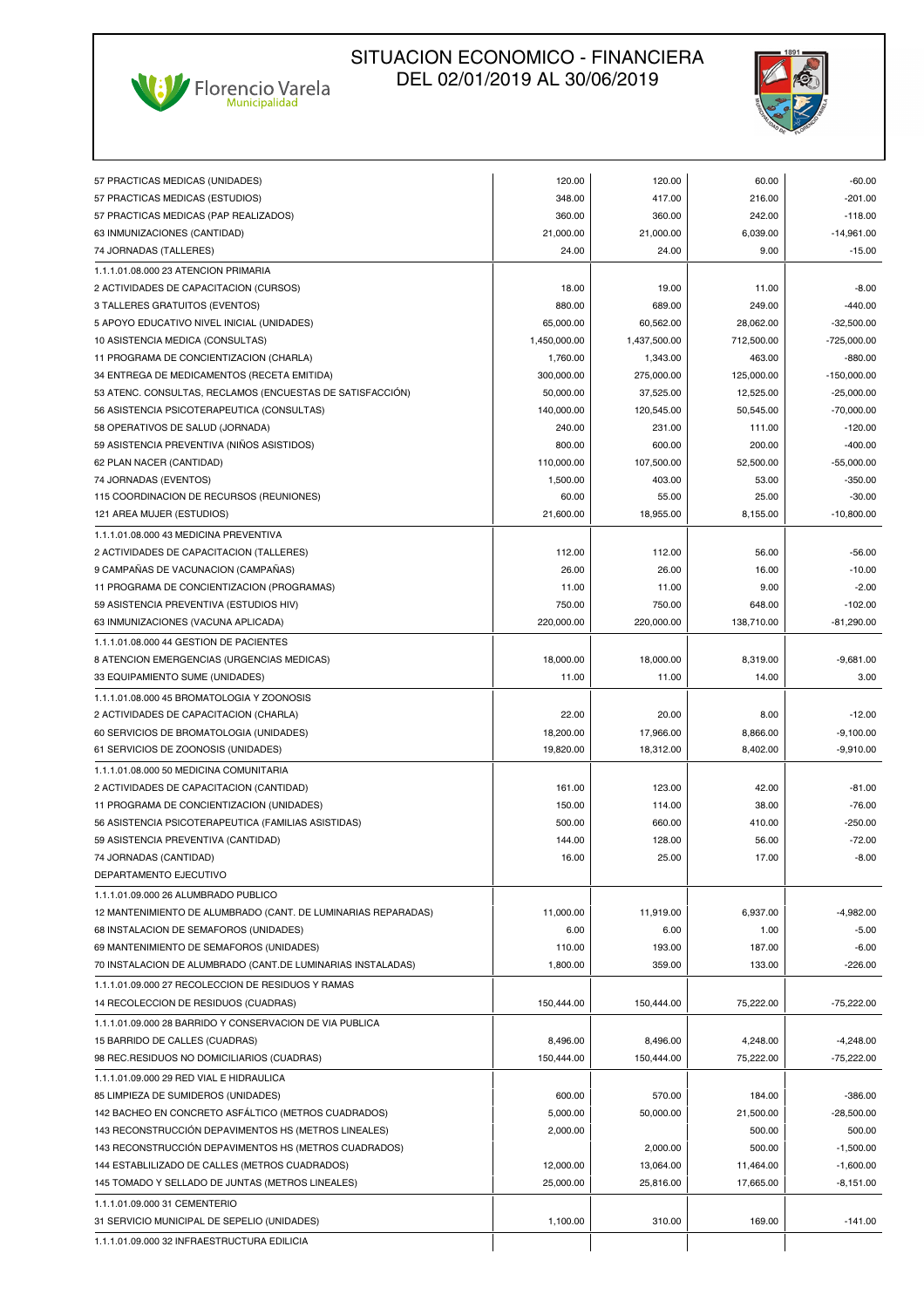



|                                                               | 120.00       | 120.00       | 60.00      | $-60.00$      |
|---------------------------------------------------------------|--------------|--------------|------------|---------------|
| 57 PRACTICAS MEDICAS (UNIDADES)                               | 348.00       | 417.00       | 216.00     | $-201.00$     |
| 57 PRACTICAS MEDICAS (ESTUDIOS)                               | 360.00       |              | 242.00     | $-118.00$     |
| 57 PRACTICAS MEDICAS (PAP REALIZADOS)                         | 21,000.00    | 360.00       | 6,039.00   | $-14,961.00$  |
| 63 INMUNIZACIONES (CANTIDAD)                                  | 24.00        | 21,000.00    | 9.00       |               |
| 74 JORNADAS (TALLERES)                                        |              | 24.00        |            | $-15.00$      |
| 1.1.1.01.08.000 23 ATENCION PRIMARIA                          |              |              |            |               |
| 2 ACTIVIDADES DE CAPACITACION (CURSOS)                        | 18.00        | 19.00        | 11.00      | $-8.00$       |
| 3 TALLERES GRATUITOS (EVENTOS)                                | 880.00       | 689.00       | 249.00     | $-440.00$     |
| 5 APOYO EDUCATIVO NIVEL INICIAL (UNIDADES)                    | 65,000.00    | 60,562.00    | 28,062.00  | $-32,500.00$  |
| 10 ASISTENCIA MEDICA (CONSULTAS)                              | 1,450,000.00 | 1,437,500.00 | 712.500.00 | -725,000.00   |
| 11 PROGRAMA DE CONCIENTIZACION (CHARLA)                       | 1,760.00     | 1,343.00     | 463.00     | $-880.00$     |
| 34 ENTREGA DE MEDICAMENTOS (RECETA EMITIDA)                   | 300,000.00   | 275,000.00   | 125,000.00 | $-150,000.00$ |
| 53 ATENC. CONSULTAS, RECLAMOS (ENCUESTAS DE SATISFACCIÓN)     | 50,000.00    | 37,525.00    | 12,525.00  | $-25,000.00$  |
| 56 ASISTENCIA PSICOTERAPEUTICA (CONSULTAS)                    | 140,000.00   | 120,545.00   | 50,545.00  | $-70,000.00$  |
| 58 OPERATIVOS DE SALUD (JORNADA)                              | 240.00       | 231.00       | 111.00     | $-120.00$     |
| 59 ASISTENCIA PREVENTIVA (NINOS ASISTIDOS)                    | 800.00       | 600.00       | 200.00     | $-400.00$     |
| 62 PLAN NACER (CANTIDAD)                                      | 110,000.00   | 107,500.00   | 52,500.00  | $-55,000.00$  |
| 74 JORNADAS (EVENTOS)                                         | 1,500.00     | 403.00       | 53.00      | $-350.00$     |
| 115 COORDINACION DE RECURSOS (REUNIONES)                      | 60.00        | 55.00        | 25.00      | $-30.00$      |
| 121 AREA MUJER (ESTUDIOS)                                     | 21,600.00    | 18,955.00    | 8,155.00   | $-10,800.00$  |
| 1.1.1.01.08.000 43 MEDICINA PREVENTIVA                        |              |              |            |               |
| 2 ACTIVIDADES DE CAPACITACION (TALLERES)                      | 112.00       | 112.00       | 56.00      | $-56.00$      |
| 9 CAMPAÑAS DE VACUNACION (CAMPAÑAS)                           | 26.00        | 26.00        | 16.00      | $-10.00$      |
| 11 PROGRAMA DE CONCIENTIZACION (PROGRAMAS)                    | 11.00        | 11.00        | 9.00       | $-2.00$       |
| 59 ASISTENCIA PREVENTIVA (ESTUDIOS HIV)                       | 750.00       | 750.00       | 648.00     | $-102.00$     |
| 63 INMUNIZACIONES (VACUNA APLICADA)                           | 220,000.00   | 220,000.00   | 138,710.00 | $-81,290.00$  |
| 1.1.1.01.08.000 44 GESTION DE PACIENTES                       |              |              |            |               |
| 8 ATENCION EMERGENCIAS (URGENCIAS MEDICAS)                    | 18,000.00    | 18,000.00    | 8,319.00   | $-9,681.00$   |
| 33 EQUIPAMIENTO SUME (UNIDADES)                               | 11.00        | 11.00        | 14.00      | 3.00          |
| 1.1.1.01.08.000 45 BROMATOLOGIA Y ZOONOSIS                    |              |              |            |               |
|                                                               |              |              |            |               |
| 2 ACTIVIDADES DE CAPACITACION (CHARLA)                        | 22.00        | 20.00        | 8.00       | $-12.00$      |
| 60 SERVICIOS DE BROMATOLOGIA (UNIDADES)                       | 18,200.00    | 17,966.00    | 8,866.00   | $-9,100.00$   |
| 61 SERVICIOS DE ZOONOSIS (UNIDADES)                           | 19,820.00    | 18,312.00    | 8,402.00   | $-9,910.00$   |
| 1.1.1.01.08.000 50 MEDICINA COMUNITARIA                       |              |              |            |               |
| 2 ACTIVIDADES DE CAPACITACION (CANTIDAD)                      | 161.00       | 123.00       | 42.00      | $-81.00$      |
| 11 PROGRAMA DE CONCIENTIZACION (UNIDADES)                     | 150.00       | 114.00       | 38.00      | $-76.00$      |
| 56 ASISTENCIA PSICOTERAPEUTICA (FAMILIAS ASISTIDAS)           | 500.00       | 660.00       | 410.00     | $-250.00$     |
| 59 ASISTENCIA PREVENTIVA (CANTIDAD)                           | 144.00       | 128.00       | 56.00      | $-72.00$      |
| 74 JORNADAS (CANTIDAD)                                        | 16.00        | 25.00        | 17.00      | $-8.00$       |
| DEPARTAMENTO EJECUTIVO                                        |              |              |            |               |
| 1.1.1.01.09.000 26 ALUMBRADO PUBLICO                          |              |              |            |               |
| 12 MANTENIMIENTO DE ALUMBRADO (CANT. DE LUMINARIAS REPARADAS) | 11,000.00    | 11,919.00    | 6,937.00   | $-4,982.00$   |
| 68 INSTALACION DE SEMAFOROS (UNIDADES)                        | 6.00         | 6.00         | 1.00       | $-5.00$       |
| 69 MANTENIMIENTO DE SEMAFOROS (UNIDADES)                      | 110.00       | 193.00       | 187.00     | $-6.00$       |
| 70 INSTALACION DE ALUMBRADO (CANT.DE LUMINARIAS INSTALADAS)   | 1,800.00     | 359.00       | 133.00     | $-226.00$     |
| 1.1.1.01.09.000 27 RECOLECCION DE RESIDUOS Y RAMAS            |              |              |            |               |
| 14 RECOLECCION DE RESIDUOS (CUADRAS)                          | 150,444.00   | 150,444.00   | 75,222.00  | $-75,222.00$  |
| 1.1.1.01.09.000 28 BARRIDO Y CONSERVACION DE VIA PUBLICA      |              |              |            |               |
| 15 BARRIDO DE CALLES (CUADRAS)                                | 8,496.00     | 8,496.00     | 4,248.00   | $-4,248.00$   |
| 98 REC.RESIDUOS NO DOMICILIARIOS (CUADRAS)                    | 150,444.00   | 150,444.00   | 75,222.00  | $-75,222.00$  |
|                                                               |              |              |            |               |
| 1.1.1.01.09.000 29 RED VIAL E HIDRAULICA                      |              |              |            |               |
| 85 LIMPIEZA DE SUMIDEROS (UNIDADES)                           | 600.00       | 570.00       | 184.00     | $-386.00$     |
| 142 BACHEO EN CONCRETO ASFÁLTICO (METROS CUADRADOS)           | 5,000.00     | 50,000.00    | 21,500.00  | $-28,500.00$  |
| 143 RECONSTRUCCIÓN DEPAVIMENTOS HS (METROS LINEALES)          | 2,000.00     |              | 500.00     | 500.00        |
| 143 RECONSTRUCCIÓN DEPAVIMENTOS HS (METROS CUADRADOS)         |              | 2,000.00     | 500.00     | $-1,500.00$   |
| 144 ESTABLILIZADO DE CALLES (METROS CUADRADOS)                | 12,000.00    | 13,064.00    | 11,464.00  | $-1,600.00$   |
| 145 TOMADO Y SELLADO DE JUNTAS (METROS LINEALES)              | 25,000.00    | 25,816.00    | 17,665.00  | $-8,151.00$   |
| 1.1.1.01.09.000 31 CEMENTERIO                                 |              |              |            |               |
| 31 SERVICIO MUNICIPAL DE SEPELIO (UNIDADES)                   | 1,100.00     | 310.00       | 169.00     | $-141.00$     |
| 1.1.1.01.09.000 32 INFRAESTRUCTURA EDILICIA                   |              |              |            |               |
|                                                               |              |              |            |               |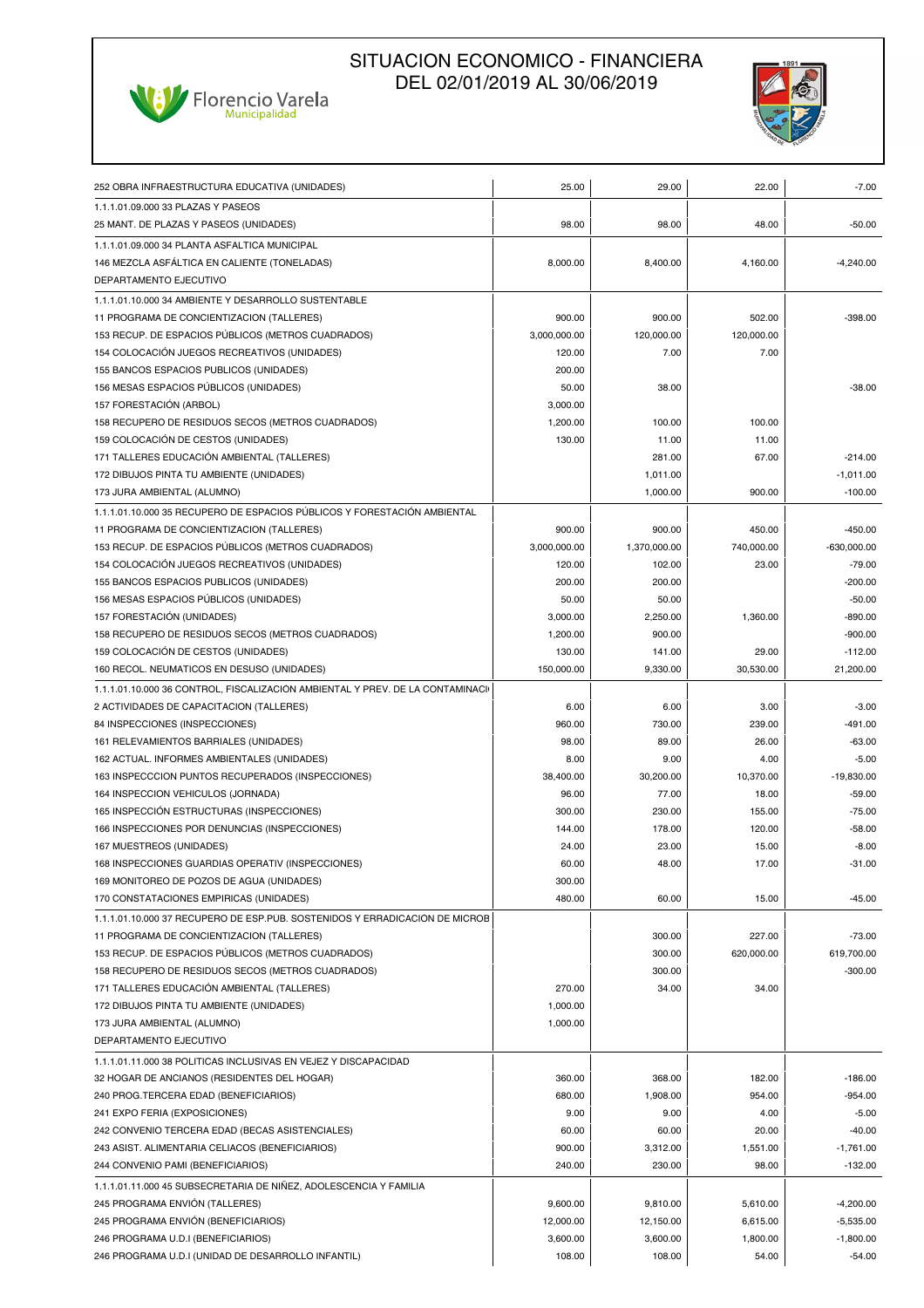# Ville Florencio Varela



| 252 OBRA INFRAESTRUCTURA EDUCATIVA (UNIDADES)                                 | 25.00        | 29.00        | 22.00      | $-7.00$       |
|-------------------------------------------------------------------------------|--------------|--------------|------------|---------------|
| 1.1.1.01.09.000 33 PLAZAS Y PASEOS                                            |              |              |            |               |
| 25 MANT. DE PLAZAS Y PASEOS (UNIDADES)                                        | 98.00        | 98.00        | 48.00      | $-50.00$      |
| 1.1.1.01.09.000 34 PLANTA ASFALTICA MUNICIPAL                                 |              |              |            |               |
| 146 MEZCLA ASFÁLTICA EN CALIENTE (TONELADAS)                                  | 8,000.00     | 8,400.00     | 4,160.00   | $-4,240.00$   |
| DEPARTAMENTO EJECUTIVO                                                        |              |              |            |               |
| 1.1.1.01.10.000 34 AMBIENTE Y DESARROLLO SUSTENTABLE                          |              |              |            |               |
| 11 PROGRAMA DE CONCIENTIZACION (TALLERES)                                     | 900.00       | 900.00       | 502.00     | $-398.00$     |
| 153 RECUP. DE ESPACIOS PÚBLICOS (METROS CUADRADOS)                            | 3,000,000.00 | 120,000.00   | 120,000.00 |               |
| 154 COLOCACIÓN JUEGOS RECREATIVOS (UNIDADES)                                  | 120.00       | 7.00         | 7.00       |               |
| 155 BANCOS ESPACIOS PUBLICOS (UNIDADES)                                       | 200.00       |              |            |               |
| 156 MESAS ESPACIOS PÚBLICOS (UNIDADES)                                        | 50.00        | 38.00        |            | $-38.00$      |
| 157 FORESTACIÓN (ARBOL)                                                       | 3,000.00     |              |            |               |
| 158 RECUPERO DE RESIDUOS SECOS (METROS CUADRADOS)                             | 1,200.00     | 100.00       | 100.00     |               |
| 159 COLOCACIÓN DE CESTOS (UNIDADES)                                           | 130.00       | 11.00        | 11.00      |               |
| 171 TALLERES EDUCACIÓN AMBIENTAL (TALLERES)                                   |              | 281.00       | 67.00      | $-214.00$     |
| 172 DIBUJOS PINTA TU AMBIENTE (UNIDADES)                                      |              | 1,011.00     |            | $-1,011.00$   |
| 173 JURA AMBIENTAL (ALUMNO)                                                   |              | 1,000.00     | 900.00     | $-100.00$     |
| 1.1.1.01.10.000 35 RECUPERO DE ESPACIOS PÚBLICOS Y FORESTACIÓN AMBIENTAL      |              |              |            |               |
| 11 PROGRAMA DE CONCIENTIZACION (TALLERES)                                     | 900.00       | 900.00       | 450.00     | $-450.00$     |
| 153 RECUP. DE ESPACIOS PÚBLICOS (METROS CUADRADOS)                            | 3,000,000.00 | 1,370,000.00 | 740,000.00 | $-630,000.00$ |
| 154 COLOCACIÓN JUEGOS RECREATIVOS (UNIDADES)                                  | 120.00       | 102.00       | 23.00      | $-79.00$      |
| 155 BANCOS ESPACIOS PUBLICOS (UNIDADES)                                       | 200.00       | 200.00       |            | $-200.00$     |
| 156 MESAS ESPACIOS PÚBLICOS (UNIDADES)                                        | 50.00        | 50.00        |            | $-50.00$      |
| 157 FORESTACIÓN (UNIDADES)                                                    | 3,000.00     | 2,250.00     | 1,360.00   | $-890.00$     |
| 158 RECUPERO DE RESIDUOS SECOS (METROS CUADRADOS)                             | 1,200.00     | 900.00       |            | $-900.00$     |
| 159 COLOCACIÓN DE CESTOS (UNIDADES)                                           | 130.00       | 141.00       | 29.00      | $-112.00$     |
| 160 RECOL. NEUMATICOS EN DESUSO (UNIDADES)                                    | 150,000.00   | 9,330.00     | 30,530.00  | 21,200.00     |
| 1.1.1.01.10.000 36 CONTROL, FISCALIZACIÓN AMBIENTAL Y PREV. DE LA CONTAMINACI |              |              |            |               |
| 2 ACTIVIDADES DE CAPACITACION (TALLERES)                                      | 6.00         | 6.00         | 3.00       | $-3.00$       |
| 84 INSPECCIONES (INSPECCIONES)                                                | 960.00       | 730.00       | 239.00     | $-491.00$     |
| 161 RELEVAMIENTOS BARRIALES (UNIDADES)                                        | 98.00        | 89.00        | 26.00      | $-63.00$      |
| 162 ACTUAL. INFORMES AMBIENTALES (UNIDADES)                                   | 8.00         | 9.00         | 4.00       | $-5.00$       |
| 163 INSPECCCION PUNTOS RECUPERADOS (INSPECCIONES)                             | 38,400.00    | 30,200.00    | 10,370.00  | $-19,830.00$  |
| 164 INSPECCION VEHICULOS (JORNADA)                                            | 96.00        | 77.00        | 18.00      | $-59.00$      |
| 165 INSPECCIÓN ESTRUCTURAS (INSPECCIONES)                                     | 300.00       | 230.00       | 155.00     | $-75.00$      |
| 166 INSPECCIONES POR DENUNCIAS (INSPECCIONES)                                 | 144.00       | 178.00       | 120.00     | $-58.00$      |
| 167 MUESTREOS (UNIDADES)                                                      | 24.00        | 23.00        | 15.00      | $-8.00$       |
| 168 INSPECCIONES GUARDIAS OPERATIV (INSPECCIONES)                             | 60.00        | 48.00        | 17.00      | $-31.00$      |
| 169 MONITOREO DE POZOS DE AGUA (UNIDADES)                                     | 300.00       |              |            |               |
| 170 CONSTATACIONES EMPIRICAS (UNIDADES)                                       | 480.00       | 60.00        | 15.00      | $-45.00$      |
| 1.1.1.01.10.000 37 RECUPERO DE ESP.PÚB. SOSTENIDOS Y ERRADICACIÓN DE MICROE   |              |              |            |               |
| 11 PROGRAMA DE CONCIENTIZACION (TALLERES)                                     |              | 300.00       | 227.00     | $-73.00$      |
| 153 RECUP. DE ESPACIOS PÚBLICOS (METROS CUADRADOS)                            |              | 300.00       | 620,000.00 | 619,700.00    |
| 158 RECUPERO DE RESIDUOS SECOS (METROS CUADRADOS)                             |              | 300.00       |            | $-300.00$     |
| 171 TALLERES EDUCACIÓN AMBIENTAL (TALLERES)                                   | 270.00       | 34.00        | 34.00      |               |
| 172 DIBUJOS PINTA TU AMBIENTE (UNIDADES)                                      | 1,000.00     |              |            |               |
| 173 JURA AMBIENTAL (ALUMNO)                                                   | 1,000.00     |              |            |               |
| DEPARTAMENTO EJECUTIVO                                                        |              |              |            |               |
| 1.1.1.01.11.000 38 POLITICAS INCLUSIVAS EN VEJEZ Y DISCAPACIDAD               |              |              |            |               |
| 32 HOGAR DE ANCIANOS (RESIDENTES DEL HOGAR)                                   | 360.00       | 368.00       | 182.00     | $-186.00$     |
| 240 PROG.TERCERA EDAD (BENEFICIARIOS)                                         | 680.00       | 1,908.00     | 954.00     | $-954.00$     |
| 241 EXPO FERIA (EXPOSICIONES)                                                 | 9.00         | 9.00         | 4.00       | $-5.00$       |
| 242 CONVENIO TERCERA EDAD (BECAS ASISTENCIALES)                               | 60.00        | 60.00        | 20.00      | $-40.00$      |
| 243 ASIST. ALIMENTARIA CELIACOS (BENEFICIARIOS)                               | 900.00       | 3,312.00     | 1,551.00   | $-1,761.00$   |
| 244 CONVENIO PAMI (BENEFICIARIOS)                                             | 240.00       | 230.00       | 98.00      | $-132.00$     |
| 1.1.1.01.11.000 45 SUBSECRETARIA DE NIÑEZ, ADOLESCENCIA Y FAMILIA             |              |              |            |               |
| 245 PROGRAMA ENVIÓN (TALLERES)                                                | 9,600.00     | 9,810.00     | 5,610.00   | $-4,200.00$   |
| 245 PROGRAMA ENVIÓN (BENEFICIARIOS)                                           | 12,000.00    | 12,150.00    | 6,615.00   | $-5,535.00$   |
| 246 PROGRAMA U.D.I (BENEFICIARIOS)                                            | 3,600.00     | 3,600.00     | 1,800.00   | $-1,800.00$   |
| 246 PROGRAMA U.D.I (UNIDAD DE DESARROLLO INFANTIL)                            | 108.00       | 108.00       | 54.00      | $-54.00$      |
|                                                                               |              |              |            |               |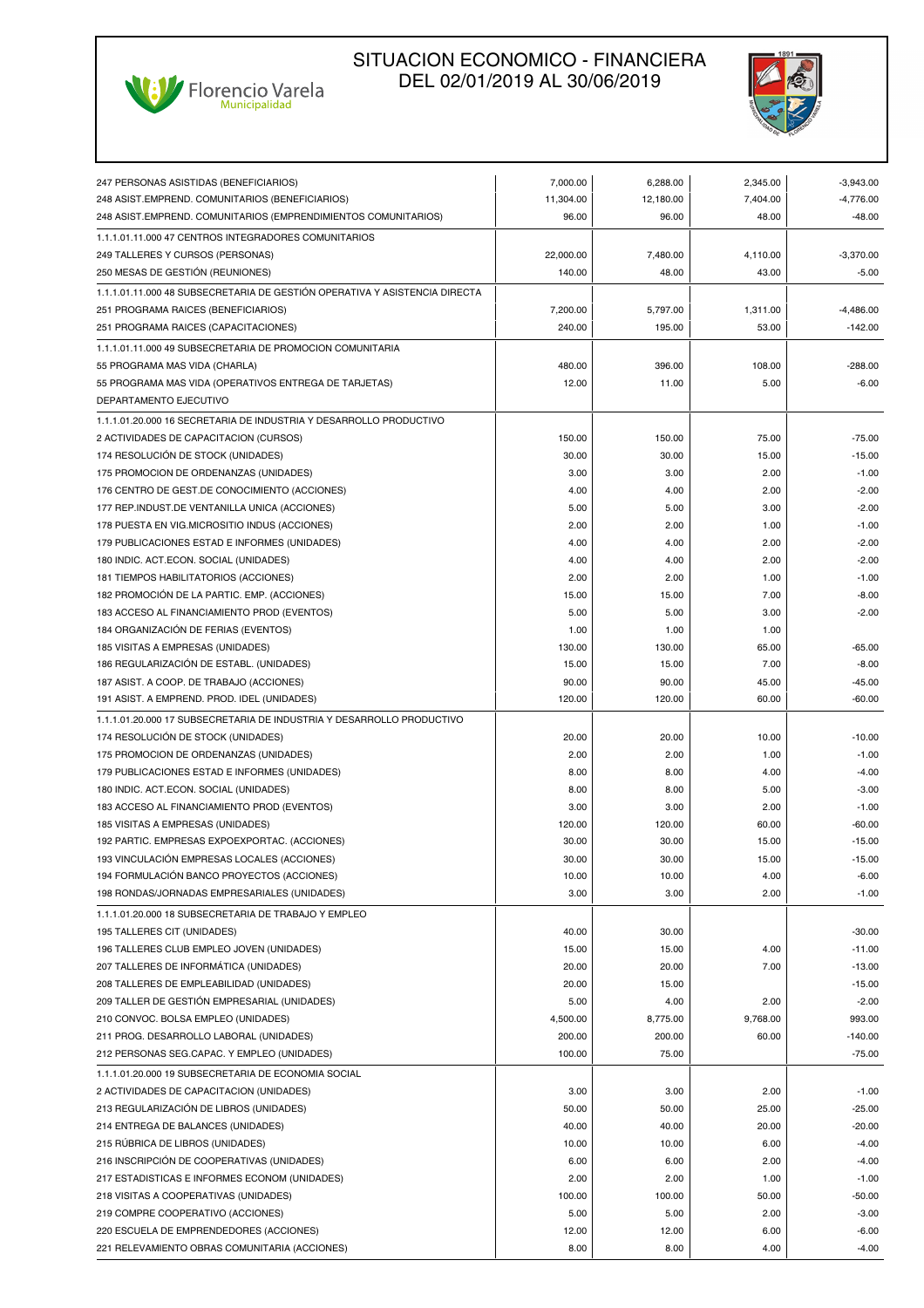



| 247 PERSONAS ASISTIDAS (BENEFICIARIOS)                                     | 7.000.00  | 6,288.00  | 2,345.00 | $-3,943.00$ |
|----------------------------------------------------------------------------|-----------|-----------|----------|-------------|
|                                                                            |           |           |          |             |
| 248 ASIST.EMPREND. COMUNITARIOS (BENEFICIARIOS)                            | 11,304.00 | 12,180.00 | 7,404.00 | $-4,776.00$ |
| 248 ASIST.EMPREND. COMUNITARIOS (EMPRENDIMIENTOS COMUNITARIOS)             | 96.00     | 96.00     | 48.00    | $-48.00$    |
| 1.1.1.01.11.000 47 CENTROS INTEGRADORES COMUNITARIOS                       |           |           |          |             |
| 249 TALLERES Y CURSOS (PERSONAS)                                           | 22,000.00 | 7,480.00  | 4,110.00 | $-3,370.00$ |
| 250 MESAS DE GESTIÓN (REUNIONES)                                           | 140.00    | 48.00     | 43.00    | $-5.00$     |
| 1.1.1.01.11.000 48 SUBSECRETARIA DE GESTIÓN OPERATIVA Y ASISTENCIA DIRECTA |           |           |          |             |
| 251 PROGRAMA RAICES (BENEFICIARIOS)                                        | 7,200.00  | 5,797.00  | 1,311.00 | $-4,486.00$ |
| 251 PROGRAMA RAICES (CAPACITACIONES)                                       | 240.00    | 195.00    | 53.00    | $-142.00$   |
| 1.1.1.01.11.000 49 SUBSECRETARIA DE PROMOCION COMUNITARIA                  |           |           |          |             |
| 55 PROGRAMA MAS VIDA (CHARLA)                                              | 480.00    | 396.00    | 108.00   | $-288.00$   |
| 55 PROGRAMA MAS VIDA (OPERATIVOS ENTREGA DE TARJETAS)                      | 12.00     | 11.00     | 5.00     | $-6.00$     |
| DEPARTAMENTO EJECUTIVO                                                     |           |           |          |             |
| 1.1.1.01.20.000 16 SECRETARIA DE INDUSTRIA Y DESARROLLO PRODUCTIVO         |           |           |          |             |
| 2 ACTIVIDADES DE CAPACITACION (CURSOS)                                     | 150.00    | 150.00    | 75.00    | $-75.00$    |
| 174 RESOLUCIÓN DE STOCK (UNIDADES)                                         | 30.00     | 30.00     | 15.00    | $-15.00$    |
| 175 PROMOCION DE ORDENANZAS (UNIDADES)                                     | 3.00      | 3.00      | 2.00     | $-1.00$     |
| 176 CENTRO DE GEST.DE CONOCIMIENTO (ACCIONES)                              | 4.00      | 4.00      | 2.00     | $-2.00$     |
| 177 REP.INDUST.DE VENTANILLA UNICA (ACCIONES)                              | 5.00      | 5.00      | 3.00     | $-2.00$     |
|                                                                            |           |           |          |             |
| 178 PUESTA EN VIG.MICROSITIO INDUS (ACCIONES)                              | 2.00      | 2.00      | 1.00     | $-1.00$     |
| 179 PUBLICACIONES ESTAD E INFORMES (UNIDADES)                              | 4.00      | 4.00      | 2.00     | $-2.00$     |
| 180 INDIC. ACT.ECON. SOCIAL (UNIDADES)                                     | 4.00      | 4.00      | 2.00     | $-2.00$     |
| 181 TIEMPOS HABILITATORIOS (ACCIONES)                                      | 2.00      | 2.00      | 1.00     | $-1.00$     |
| 182 PROMOCIÓN DE LA PARTIC. EMP. (ACCIONES)                                | 15.00     | 15.00     | 7.00     | $-8.00$     |
| 183 ACCESO AL FINANCIAMIENTO PROD (EVENTOS)                                | 5.00      | 5.00      | 3.00     | $-2.00$     |
| 184 ORGANIZACIÓN DE FERIAS (EVENTOS)                                       | 1.00      | 1.00      | 1.00     |             |
| 185 VISITAS A EMPRESAS (UNIDADES)                                          | 130.00    | 130.00    | 65.00    | $-65.00$    |
| 186 REGULARIZACIÓN DE ESTABL. (UNIDADES)                                   | 15.00     | 15.00     | 7.00     | $-8.00$     |
| 187 ASIST. A COOP. DE TRABAJO (ACCIONES)                                   | 90.00     | 90.00     | 45.00    | $-45.00$    |
| 191 ASIST. A EMPREND. PROD. IDEL (UNIDADES)                                | 120.00    | 120.00    | 60.00    | $-60.00$    |
| 1.1.1.01.20.000 17 SUBSECRETARIA DE INDUSTRIA Y DESARROLLO PRODUCTIVO      |           |           |          |             |
| 174 RESOLUCIÓN DE STOCK (UNIDADES)                                         | 20.00     | 20.00     | 10.00    | $-10.00$    |
| 175 PROMOCION DE ORDENANZAS (UNIDADES)                                     | 2.00      | 2.00      | 1.00     | $-1.00$     |
| 179 PUBLICACIONES ESTAD E INFORMES (UNIDADES)                              | 8.00      | 8.00      | 4.00     | $-4.00$     |
| 180 INDIC. ACT.ECON. SOCIAL (UNIDADES)                                     | 8.00      | 8.00      | 5.00     | $-3.00$     |
| 183 ACCESO AL FINANCIAMIENTO PROD (EVENTOS)                                | 3.00      | 3.00      | 2.00     | $-1.00$     |
| 185 VISITAS A EMPRESAS (UNIDADES)                                          | 120.00    | 120.00    | 60.00    | $-60.00$    |
| 192 PARTIC. EMPRESAS EXPOEXPORTAC. (ACCIONES)                              | 30.00     | 30.00     | 15.00    | $-15.00$    |
| 193 VINCULACIÓN EMPRESAS LOCALES (ACCIONES)                                | 30.00     | 30.00     | 15.00    | $-15.00$    |
| 194 FORMULACIÓN BANCO PROYECTOS (ACCIONES)                                 | 10.00     | 10.00     | 4.00     | $-6.00$     |
| 198 RONDAS/JORNADAS EMPRESARIALES (UNIDADES)                               | 3.00      | 3.00      | 2.00     | $-1.00$     |
| 1.1.1.01.20.000 18 SUBSECRETARIA DE TRABAJO Y EMPLEO                       |           |           |          |             |
| 195 TALLERES CIT (UNIDADES)                                                | 40.00     | 30.00     |          | $-30.00$    |
| 196 TALLERES CLUB EMPLEO JOVEN (UNIDADES)                                  |           |           |          |             |
|                                                                            | 15.00     | 15.00     | 4.00     | $-11.00$    |
| 207 TALLERES DE INFORMÁTICA (UNIDADES)                                     | 20.00     | 20.00     | 7.00     | $-13.00$    |
| 208 TALLERES DE EMPLEABILIDAD (UNIDADES)                                   | 20.00     | 15.00     |          | $-15.00$    |
| 209 TALLER DE GESTIÓN EMPRESARIAL (UNIDADES)                               | 5.00      | 4.00      | 2.00     | $-2.00$     |
| 210 CONVOC. BOLSA EMPLEO (UNIDADES)                                        | 4,500.00  | 8,775.00  | 9,768.00 | 993.00      |
| 211 PROG. DESARROLLO LABORAL (UNIDADES)                                    | 200.00    | 200.00    | 60.00    | $-140.00$   |
| 212 PERSONAS SEG.CAPAC. Y EMPLEO (UNIDADES)                                | 100.00    | 75.00     |          | $-75.00$    |
| 1.1.1.01.20.000 19 SUBSECRETARIA DE ECONOMIA SOCIAL                        |           |           |          |             |
| 2 ACTIVIDADES DE CAPACITACION (UNIDADES)                                   | 3.00      | 3.00      | 2.00     | $-1.00$     |
| 213 REGULARIZACIÓN DE LIBROS (UNIDADES)                                    | 50.00     | 50.00     | 25.00    | $-25.00$    |
| 214 ENTREGA DE BALANCES (UNIDADES)                                         | 40.00     | 40.00     | 20.00    | $-20.00$    |
| 215 RÚBRICA DE LIBROS (UNIDADES)                                           | 10.00     | 10.00     | 6.00     | $-4.00$     |
| 216 INSCRIPCIÓN DE COOPERATIVAS (UNIDADES)                                 | 6.00      | 6.00      | 2.00     | $-4.00$     |
| 217 ESTADISTICAS E INFORMES ECONOM (UNIDADES)                              | 2.00      | 2.00      | 1.00     | $-1.00$     |
| 218 VISITAS A COOPERATIVAS (UNIDADES)                                      | 100.00    | 100.00    | 50.00    | $-50.00$    |
| 219 COMPRE COOPERATIVO (ACCIONES)                                          | 5.00      | 5.00      | 2.00     | $-3.00$     |
| 220 ESCUELA DE EMPRENDEDORES (ACCIONES)                                    | 12.00     | 12.00     | 6.00     | $-6.00$     |
| 221 RELEVAMIENTO OBRAS COMUNITARIA (ACCIONES)                              | 8.00      | 8.00      | 4.00     | $-4.00$     |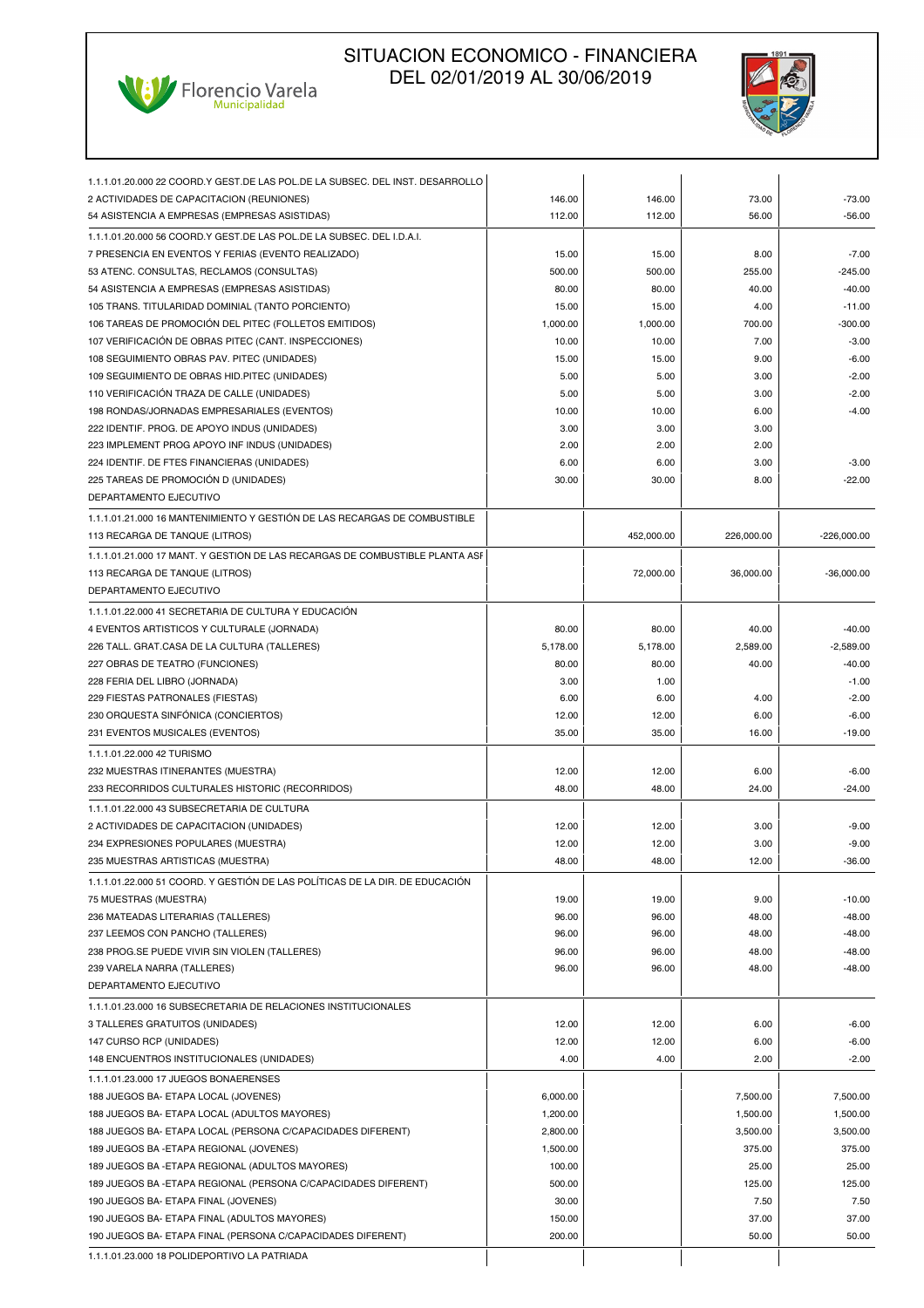



| 1.1.1.01.20.000 22 COORD.Y GEST.DE LAS POL.DE LA SUBSEC. DEL INST. DESARROLLO |          |            |            |               |
|-------------------------------------------------------------------------------|----------|------------|------------|---------------|
| 2 ACTIVIDADES DE CAPACITACION (REUNIONES)                                     | 146.00   | 146.00     | 73.00      | -73.00        |
| 54 ASISTENCIA A EMPRESAS (EMPRESAS ASISTIDAS)                                 | 112.00   | 112.00     | 56.00      | $-56.00$      |
| 1.1.1.01.20.000 56 COORD.Y GEST.DE LAS POL.DE LA SUBSEC. DEL I.D.A.I.         |          |            |            |               |
| 7 PRESENCIA EN EVENTOS Y FERIAS (EVENTO REALIZADO)                            | 15.00    | 15.00      | 8.00       | $-7.00$       |
| 53 ATENC. CONSULTAS, RECLAMOS (CONSULTAS)                                     | 500.00   | 500.00     | 255.00     | $-245.00$     |
| 54 ASISTENCIA A EMPRESAS (EMPRESAS ASISTIDAS)                                 | 80.00    | 80.00      | 40.00      | $-40.00$      |
| 105 TRANS. TITULARIDAD DOMINIAL (TANTO PORCIENTO)                             | 15.00    | 15.00      | 4.00       | $-11.00$      |
| 106 TAREAS DE PROMOCIÓN DEL PITEC (FOLLETOS EMITIDOS)                         | 1,000.00 | 1,000.00   | 700.00     | $-300.00$     |
| 107 VERIFICACIÓN DE OBRAS PITEC (CANT. INSPECCIONES)                          | 10.00    | 10.00      | 7.00       | $-3.00$       |
| 108 SEGUIMIENTO OBRAS PAV. PITEC (UNIDADES)                                   | 15.00    | 15.00      | 9.00       | $-6.00$       |
| 109 SEGUIMIENTO DE OBRAS HID.PITEC (UNIDADES)                                 | 5.00     | 5.00       | 3.00       | $-2.00$       |
| 110 VERIFICACIÓN TRAZA DE CALLE (UNIDADES)                                    | 5.00     | 5.00       | 3.00       | $-2.00$       |
| 198 RONDAS/JORNADAS EMPRESARIALES (EVENTOS)                                   | 10.00    | 10.00      | 6.00       | $-4.00$       |
| 222 IDENTIF. PROG. DE APOYO INDUS (UNIDADES)                                  | 3.00     | 3.00       | 3.00       |               |
| 223 IMPLEMENT PROG APOYO INF INDUS (UNIDADES)                                 | 2.00     | 2.00       | 2.00       |               |
| 224 IDENTIF. DE FTES FINANCIERAS (UNIDADES)                                   | 6.00     | 6.00       | 3.00       | $-3.00$       |
| 225 TAREAS DE PROMOCIÓN D (UNIDADES)                                          | 30.00    | 30.00      | 8.00       | $-22.00$      |
| DEPARTAMENTO EJECUTIVO                                                        |          |            |            |               |
| 1.1.1.01.21.000 16 MANTENIMIENTO Y GESTIÓN DE LAS RECARGAS DE COMBUSTIBLE     |          |            |            |               |
| 113 RECARGA DE TANQUE (LITROS)                                                |          | 452,000.00 | 226,000.00 | $-226,000.00$ |
|                                                                               |          |            |            |               |
| 1.1.1.01.21.000 17 MANT. Y GESTIÓN DE LAS RECARGAS DE COMBUSTIBLE PLANTA ASF  |          |            | 36.000.00  | $-36.000.00$  |
| 113 RECARGA DE TANQUE (LITROS)                                                |          | 72,000.00  |            |               |
| DEPARTAMENTO EJECUTIVO                                                        |          |            |            |               |
| 1.1.1.01.22.000 41 SECRETARIA DE CULTURA Y EDUCACIÓN                          |          |            |            |               |
| 4 EVENTOS ARTISTICOS Y CULTURALE (JORNADA)                                    | 80.00    | 80.00      | 40.00      | $-40.00$      |
| 226 TALL. GRAT.CASA DE LA CULTURA (TALLERES)                                  | 5,178.00 | 5,178.00   | 2,589.00   | $-2,589.00$   |
| 227 OBRAS DE TEATRO (FUNCIONES)                                               | 80.00    | 80.00      | 40.00      | $-40.00$      |
| 228 FERIA DEL LIBRO (JORNADA)                                                 | 3.00     | 1.00       |            | $-1.00$       |
| 229 FIESTAS PATRONALES (FIESTAS)                                              | 6.00     | 6.00       | 4.00       | $-2.00$       |
| 230 ORQUESTA SINFÓNICA (CONCIERTOS)                                           | 12.00    | 12.00      | 6.00       | $-6.00$       |
| 231 EVENTOS MUSICALES (EVENTOS)                                               | 35.00    | 35.00      | 16.00      | $-19.00$      |
| 1.1.1.01.22.000 42 TURISMO                                                    |          |            |            |               |
| 232 MUESTRAS ITINERANTES (MUESTRA)                                            | 12.00    | 12.00      | 6.00       | $-6.00$       |
| 233 RECORRIDOS CULTURALES HISTORIC (RECORRIDOS)                               | 48.00    | 48.00      | 24.00      | $-24.00$      |
| 1.1.1.01.22.000 43 SUBSECRETARIA DE CULTURA                                   |          |            |            |               |
| 2 ACTIVIDADES DE CAPACITACION (UNIDADES)                                      | 12.00    | 12.00      | 3.00       | $-9.00$       |
| 234 EXPRESIONES POPULARES (MUESTRA)                                           | 12.00    | 12.00      | 3.00       | $-9.00$       |
| 235 MUESTRAS ARTISTICAS (MUESTRA)                                             | 48.00    | 48.00      | 12.00      | $-36.00$      |
| 1.1.1.01.22.000 51 COORD. Y GESTIÓN DE LAS POLÍTICAS DE LA DIR. DE EDUCACIÓN  |          |            |            |               |
| 75 MUESTRAS (MUESTRA)                                                         | 19.00    | 19.00      | 9.00       | $-10.00$      |
| 236 MATEADAS LITERARIAS (TALLERES)                                            | 96.00    | 96.00      | 48.00      | $-48.00$      |
| 237 LEEMOS CON PANCHO (TALLERES)                                              | 96.00    | 96.00      | 48.00      | $-48.00$      |
| 238 PROG.SE PUEDE VIVIR SIN VIOLEN (TALLERES)                                 | 96.00    | 96.00      | 48.00      | $-48.00$      |
| 239 VARELA NARRA (TALLERES)                                                   | 96.00    | 96.00      | 48.00      | $-48.00$      |
| DEPARTAMENTO EJECUTIVO                                                        |          |            |            |               |
| 1.1.1.01.23.000 16 SUBSECRETARIA DE RELACIONES INSTITUCIONALES                |          |            |            |               |
| 3 TALLERES GRATUITOS (UNIDADES)                                               | 12.00    | 12.00      | 6.00       | $-6.00$       |
| 147 CURSO RCP (UNIDADES)                                                      | 12.00    | 12.00      | 6.00       | $-6.00$       |
| 148 ENCUENTROS INSTITUCIONALES (UNIDADES)                                     | 4.00     | 4.00       | 2.00       | $-2.00$       |
| 1.1.1.01.23.000 17 JUEGOS BONAERENSES                                         |          |            |            |               |
| 188 JUEGOS BA- ETAPA LOCAL (JOVENES)                                          | 6,000.00 |            | 7,500.00   | 7,500.00      |
| 188 JUEGOS BA- ETAPA LOCAL (ADULTOS MAYORES)                                  | 1,200.00 |            | 1,500.00   | 1,500.00      |
| 188 JUEGOS BA- ETAPA LOCAL (PERSONA C/CAPACIDADES DIFERENT)                   | 2,800.00 |            | 3,500.00   | 3,500.00      |
| 189 JUEGOS BA - ETAPA REGIONAL (JOVENES)                                      | 1,500.00 |            | 375.00     | 375.00        |
| 189 JUEGOS BA - ETAPA REGIONAL (ADULTOS MAYORES)                              | 100.00   |            | 25.00      | 25.00         |
| 189 JUEGOS BA - ETAPA REGIONAL (PERSONA C/CAPACIDADES DIFERENT)               | 500.00   |            | 125.00     | 125.00        |
| 190 JUEGOS BA- ETAPA FINAL (JOVENES)                                          | 30.00    |            | 7.50       | 7.50          |
| 190 JUEGOS BA- ETAPA FINAL (ADULTOS MAYORES)                                  | 150.00   |            | 37.00      | 37.00         |
| 190 JUEGOS BA- ETAPA FINAL (PERSONA C/CAPACIDADES DIFERENT)                   | 200.00   |            | 50.00      | 50.00         |
|                                                                               |          |            |            |               |
| 1.1.1.01.23.000 18 POLIDEPORTIVO LA PATRIADA                                  |          |            |            |               |